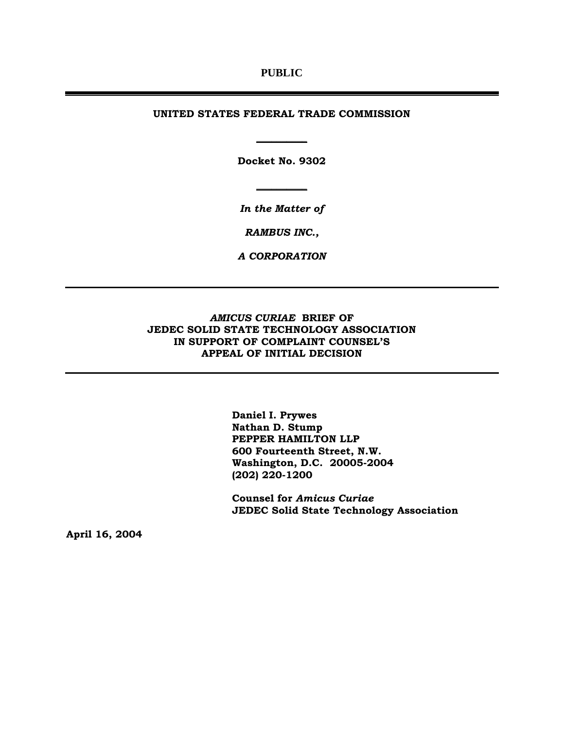### **PUBLIC**

#### **UNITED STATES FEDERAL TRADE COMMISSION**

**Docket No. 9302** 

**\_\_\_\_\_\_\_\_\_\_**

*In the Matter of* 

**\_\_\_\_\_\_\_\_\_\_**

*RAMBUS INC.,* 

*A CORPORATION* 

## *AMICUS CURIAE* **BRIEF OF JEDEC SOLID STATE TECHNOLOGY ASSOCIATION IN SUPPORT OF COMPLAINT COUNSEL'S APPEAL OF INITIAL DECISION**

**Daniel I. Prywes Nathan D. Stump PEPPER HAMILTON LLP 600 Fourteenth Street, N.W. Washington, D.C. 20005-2004 (202) 220-1200** 

**Counsel for** *Amicus Curiae*  **JEDEC Solid State Technology Association** 

**April 16, 2004**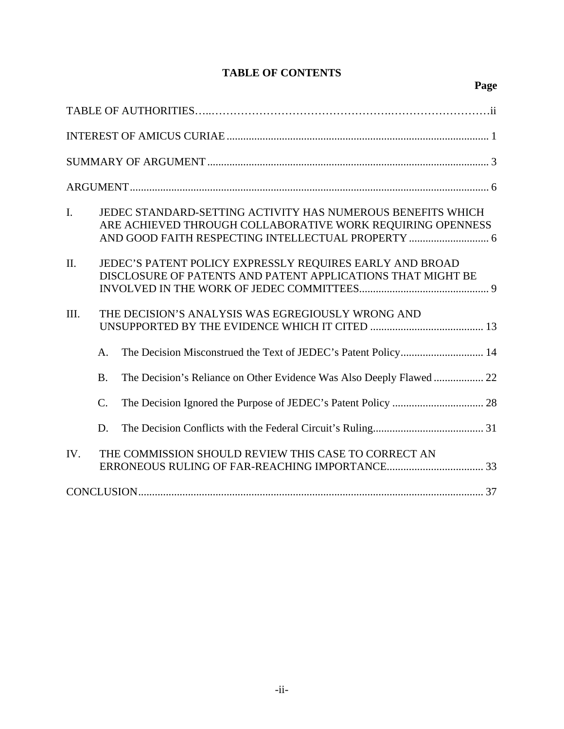# **TABLE OF CONTENTS**

| $\mathbf{I}$ . |                                                   | JEDEC STANDARD-SETTING ACTIVITY HAS NUMEROUS BENEFITS WHICH<br>ARE ACHIEVED THROUGH COLLABORATIVE WORK REQUIRING OPENNESS |  |  |  |
|----------------|---------------------------------------------------|---------------------------------------------------------------------------------------------------------------------------|--|--|--|
| II.            |                                                   | JEDEC'S PATENT POLICY EXPRESSLY REQUIRES EARLY AND BROAD<br>DISCLOSURE OF PATENTS AND PATENT APPLICATIONS THAT MIGHT BE   |  |  |  |
| III.           | THE DECISION'S ANALYSIS WAS EGREGIOUSLY WRONG AND |                                                                                                                           |  |  |  |
|                | A <sub>1</sub>                                    | The Decision Misconstrued the Text of JEDEC's Patent Policy 14                                                            |  |  |  |
|                | <b>B.</b>                                         | The Decision's Reliance on Other Evidence Was Also Deeply Flawed  22                                                      |  |  |  |
|                | $\mathcal{C}$ .                                   |                                                                                                                           |  |  |  |
|                | D.                                                |                                                                                                                           |  |  |  |
| IV.            |                                                   | THE COMMISSION SHOULD REVIEW THIS CASE TO CORRECT AN                                                                      |  |  |  |
|                |                                                   |                                                                                                                           |  |  |  |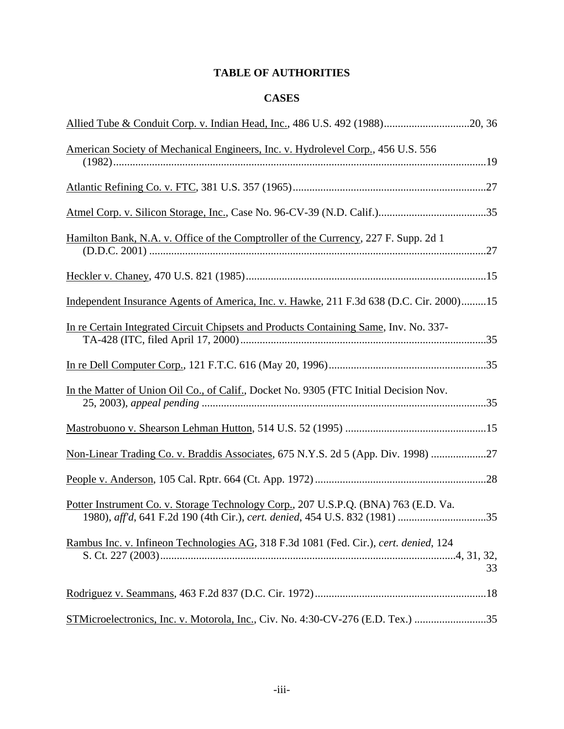# **TABLE OF AUTHORITIES**

# **CASES**

| Allied Tube & Conduit Corp. v. Indian Head, Inc., 486 U.S. 492 (1988)20, 36                                                                                        |    |
|--------------------------------------------------------------------------------------------------------------------------------------------------------------------|----|
| American Society of Mechanical Engineers, Inc. v. Hydrolevel Corp., 456 U.S. 556                                                                                   |    |
|                                                                                                                                                                    |    |
|                                                                                                                                                                    |    |
| Hamilton Bank, N.A. v. Office of the Comptroller of the Currency, 227 F. Supp. 2d 1                                                                                |    |
|                                                                                                                                                                    |    |
| Independent Insurance Agents of America, Inc. v. Hawke, 211 F.3d 638 (D.C. Cir. 2000)15                                                                            |    |
| In re Certain Integrated Circuit Chipsets and Products Containing Same, Inv. No. 337-                                                                              |    |
|                                                                                                                                                                    |    |
| In the Matter of Union Oil Co., of Calif., Docket No. 9305 (FTC Initial Decision Nov.                                                                              |    |
|                                                                                                                                                                    |    |
| Non-Linear Trading Co. v. Braddis Associates, 675 N.Y.S. 2d 5 (App. Div. 1998) 27                                                                                  |    |
|                                                                                                                                                                    |    |
| Potter Instrument Co. v. Storage Technology Corp., 207 U.S.P.Q. (BNA) 763 (E.D. Va.<br>1980), aff'd, 641 F.2d 190 (4th Cir.), cert. denied, 454 U.S. 832 (1981) 35 |    |
| Rambus Inc. v. Infineon Technologies AG, 318 F.3d 1081 (Fed. Cir.), cert. denied, 124                                                                              | 33 |
|                                                                                                                                                                    |    |
| STMicroelectronics, Inc. v. Motorola, Inc., Civ. No. 4:30-CV-276 (E.D. Tex.) 35                                                                                    |    |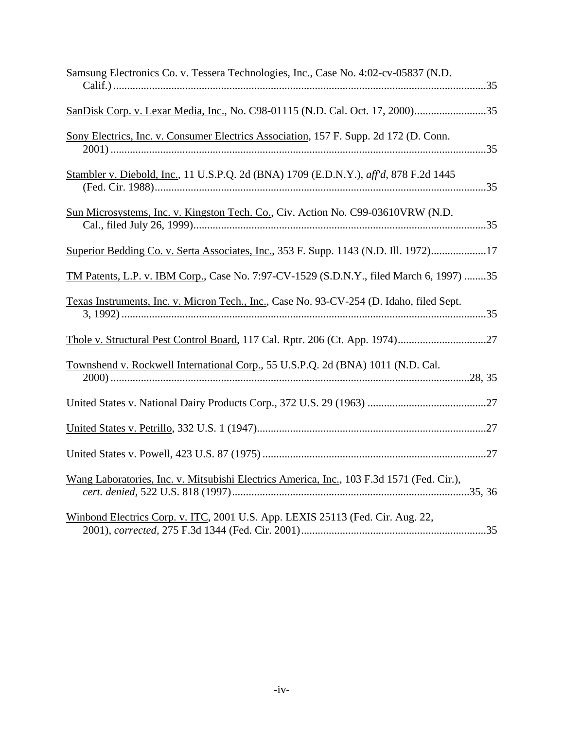| Samsung Electronics Co. v. Tessera Technologies, Inc., Case No. 4:02-cv-05837 (N.D.       |
|-------------------------------------------------------------------------------------------|
|                                                                                           |
| SanDisk Corp. v. Lexar Media, Inc., No. C98-01115 (N.D. Cal. Oct. 17, 2000)35             |
| Sony Electrics, Inc. v. Consumer Electrics Association, 157 F. Supp. 2d 172 (D. Conn.     |
| Stambler v. Diebold, Inc., 11 U.S.P.Q. 2d (BNA) 1709 (E.D.N.Y.), aff'd, 878 F.2d 1445     |
| Sun Microsystems, Inc. v. Kingston Tech. Co., Civ. Action No. C99-03610VRW (N.D.          |
| Superior Bedding Co. v. Serta Associates, Inc., 353 F. Supp. 1143 (N.D. Ill. 1972)17      |
| TM Patents, L.P. v. IBM Corp., Case No. 7:97-CV-1529 (S.D.N.Y., filed March 6, 1997) 35   |
| Texas Instruments, Inc. v. Micron Tech., Inc., Case No. 93-CV-254 (D. Idaho, filed Sept.  |
| Thole v. Structural Pest Control Board, 117 Cal. Rptr. 206 (Ct. App. 1974)27              |
| Townshend v. Rockwell International Corp., 55 U.S.P.Q. 2d (BNA) 1011 (N.D. Cal.           |
|                                                                                           |
|                                                                                           |
|                                                                                           |
| Wang Laboratories, Inc. v. Mitsubishi Electrics America, Inc., 103 F.3d 1571 (Fed. Cir.), |
| Winbond Electrics Corp. v. ITC, 2001 U.S. App. LEXIS 25113 (Fed. Cir. Aug. 22,            |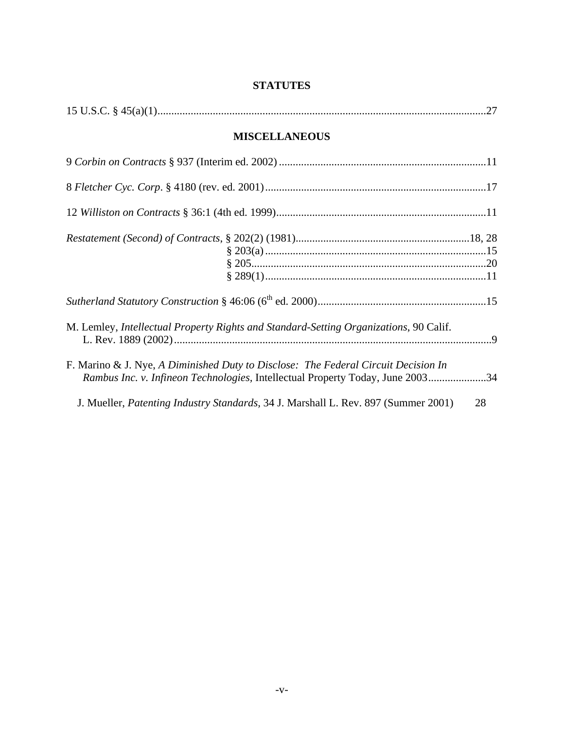# **STATUTES**

| 15 U.S.C. $\frac{27}{15}$                                                                                                                                            |    |
|----------------------------------------------------------------------------------------------------------------------------------------------------------------------|----|
| <b>MISCELLANEOUS</b>                                                                                                                                                 |    |
|                                                                                                                                                                      |    |
|                                                                                                                                                                      |    |
|                                                                                                                                                                      |    |
|                                                                                                                                                                      |    |
|                                                                                                                                                                      |    |
| M. Lemley, <i>Intellectual Property Rights and Standard-Setting Organizations</i> , 90 Calif.                                                                        |    |
| F. Marino & J. Nye, A Diminished Duty to Disclose: The Federal Circuit Decision In<br>Rambus Inc. v. Infineon Technologies, Intellectual Property Today, June 200334 |    |
| J. Mueller, <i>Patenting Industry Standards</i> , 34 J. Marshall L. Rev. 897 (Summer 2001)                                                                           | 28 |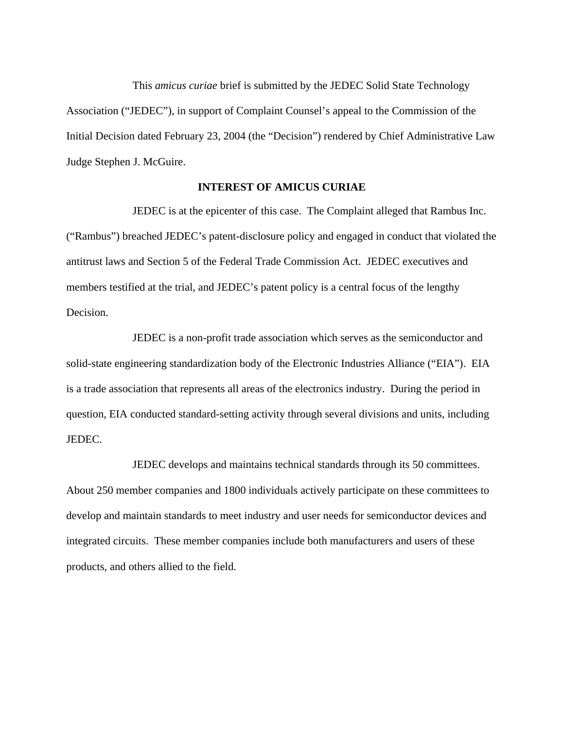This *amicus curiae* brief is submitted by the JEDEC Solid State Technology Association ("JEDEC"), in support of Complaint Counsel's appeal to the Commission of the Initial Decision dated February 23, 2004 (the "Decision") rendered by Chief Administrative Law Judge Stephen J. McGuire.

### **INTEREST OF AMICUS CURIAE**

JEDEC is at the epicenter of this case. The Complaint alleged that Rambus Inc. ("Rambus") breached JEDEC's patent-disclosure policy and engaged in conduct that violated the antitrust laws and Section 5 of the Federal Trade Commission Act. JEDEC executives and members testified at the trial, and JEDEC's patent policy is a central focus of the lengthy Decision.

JEDEC is a non-profit trade association which serves as the semiconductor and solid-state engineering standardization body of the Electronic Industries Alliance ("EIA"). EIA is a trade association that represents all areas of the electronics industry. During the period in question, EIA conducted standard-setting activity through several divisions and units, including JEDEC.

JEDEC develops and maintains technical standards through its 50 committees. About 250 member companies and 1800 individuals actively participate on these committees to develop and maintain standards to meet industry and user needs for semiconductor devices and integrated circuits. These member companies include both manufacturers and users of these products, and others allied to the field.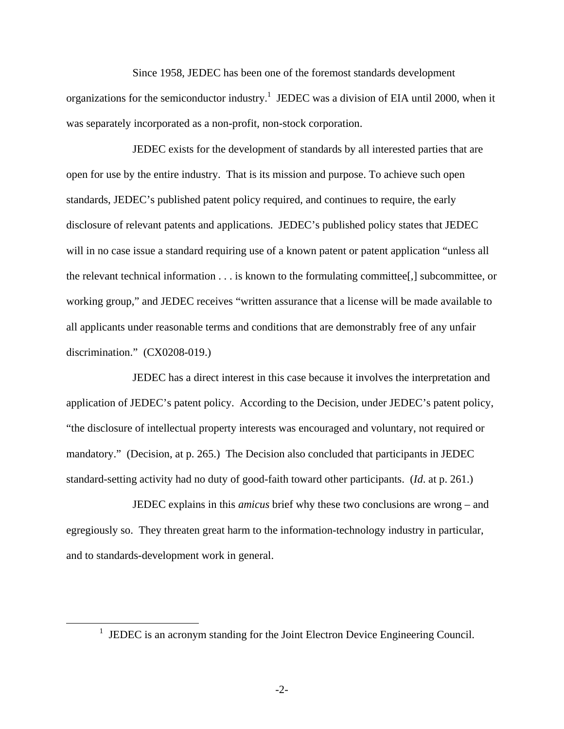Since 1958, JEDEC has been one of the foremost standards development organizations for the semiconductor industry.<sup>1</sup> JEDEC was a division of EIA until 2000, when it was separately incorporated as a non-profit, non-stock corporation.

JEDEC exists for the development of standards by all interested parties that are open for use by the entire industry. That is its mission and purpose. To achieve such open standards, JEDEC's published patent policy required, and continues to require, the early disclosure of relevant patents and applications. JEDEC's published policy states that JEDEC will in no case issue a standard requiring use of a known patent or patent application "unless all the relevant technical information . . . is known to the formulating committee[,] subcommittee, or working group," and JEDEC receives "written assurance that a license will be made available to all applicants under reasonable terms and conditions that are demonstrably free of any unfair discrimination." (CX0208-019.)

JEDEC has a direct interest in this case because it involves the interpretation and application of JEDEC's patent policy. According to the Decision, under JEDEC's patent policy, "the disclosure of intellectual property interests was encouraged and voluntary, not required or mandatory." (Decision, at p. 265.) The Decision also concluded that participants in JEDEC standard-setting activity had no duty of good-faith toward other participants. (*Id*. at p. 261.)

JEDEC explains in this *amicus* brief why these two conclusions are wrong – and egregiously so. They threaten great harm to the information-technology industry in particular, and to standards-development work in general.

<sup>&</sup>lt;u>1</u>  $\frac{1}{1}$  JEDEC is an acronym standing for the Joint Electron Device Engineering Council.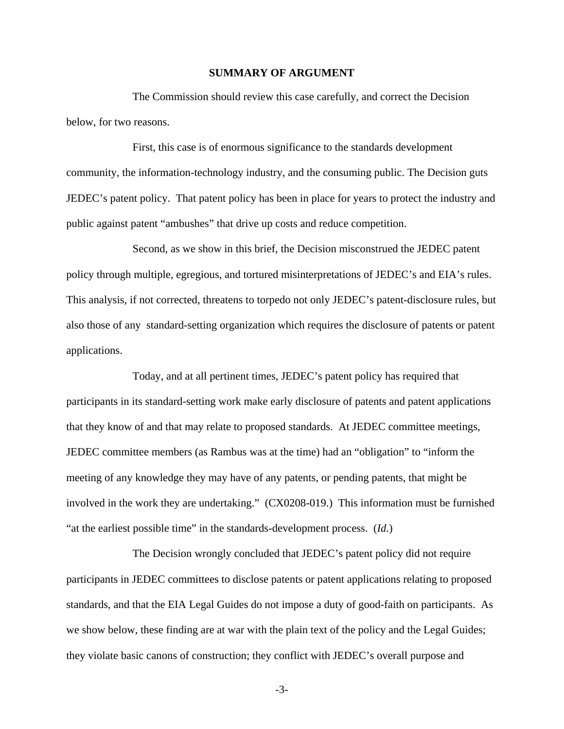### **SUMMARY OF ARGUMENT**

The Commission should review this case carefully, and correct the Decision below, for two reasons.

First, this case is of enormous significance to the standards development community, the information-technology industry, and the consuming public. The Decision guts JEDEC's patent policy. That patent policy has been in place for years to protect the industry and public against patent "ambushes" that drive up costs and reduce competition.

Second, as we show in this brief, the Decision misconstrued the JEDEC patent policy through multiple, egregious, and tortured misinterpretations of JEDEC's and EIA's rules. This analysis, if not corrected, threatens to torpedo not only JEDEC's patent-disclosure rules, but also those of any standard-setting organization which requires the disclosure of patents or patent applications.

Today, and at all pertinent times, JEDEC's patent policy has required that participants in its standard-setting work make early disclosure of patents and patent applications that they know of and that may relate to proposed standards. At JEDEC committee meetings, JEDEC committee members (as Rambus was at the time) had an "obligation" to "inform the meeting of any knowledge they may have of any patents, or pending patents, that might be involved in the work they are undertaking." (CX0208-019.) This information must be furnished "at the earliest possible time" in the standards-development process. (*Id.*)

The Decision wrongly concluded that JEDEC's patent policy did not require participants in JEDEC committees to disclose patents or patent applications relating to proposed standards, and that the EIA Legal Guides do not impose a duty of good-faith on participants. As we show below, these finding are at war with the plain text of the policy and the Legal Guides; they violate basic canons of construction; they conflict with JEDEC's overall purpose and

-3-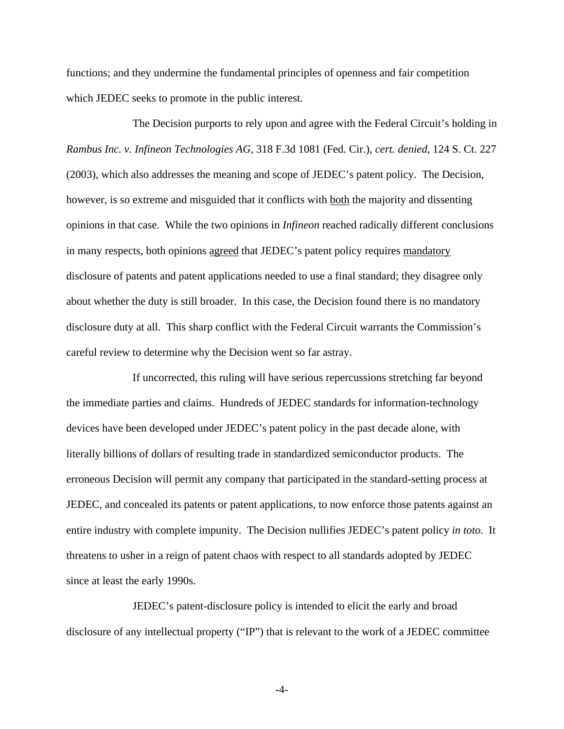functions; and they undermine the fundamental principles of openness and fair competition which JEDEC seeks to promote in the public interest.

The Decision purports to rely upon and agree with the Federal Circuit's holding in *Rambus Inc. v. Infineon Technologies AG*, 318 F.3d 1081 (Fed. Cir.), *cert. denied*, 124 S. Ct. 227 (2003), which also addresses the meaning and scope of JEDEC's patent policy. The Decision, however, is so extreme and misguided that it conflicts with both the majority and dissenting opinions in that case. While the two opinions in *Infineon* reached radically different conclusions in many respects, both opinions agreed that JEDEC's patent policy requires mandatory disclosure of patents and patent applications needed to use a final standard; they disagree only about whether the duty is still broader. In this case, the Decision found there is no mandatory disclosure duty at all. This sharp conflict with the Federal Circuit warrants the Commission's careful review to determine why the Decision went so far astray.

If uncorrected, this ruling will have serious repercussions stretching far beyond the immediate parties and claims. Hundreds of JEDEC standards for information-technology devices have been developed under JEDEC's patent policy in the past decade alone, with literally billions of dollars of resulting trade in standardized semiconductor products. The erroneous Decision will permit any company that participated in the standard-setting process at JEDEC, and concealed its patents or patent applications, to now enforce those patents against an entire industry with complete impunity. The Decision nullifies JEDEC's patent policy *in toto.* It threatens to usher in a reign of patent chaos with respect to all standards adopted by JEDEC since at least the early 1990s.

JEDEC's patent-disclosure policy is intended to elicit the early and broad disclosure of any intellectual property ("IP") that is relevant to the work of a JEDEC committee

-4-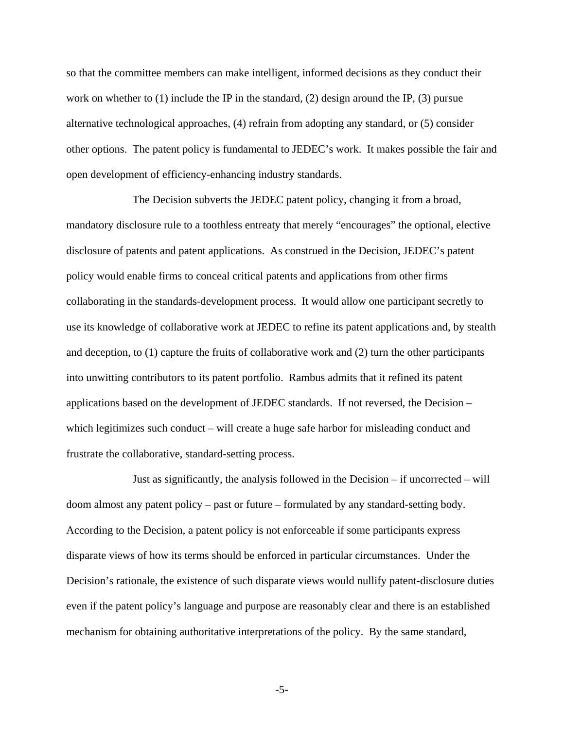so that the committee members can make intelligent, informed decisions as they conduct their work on whether to  $(1)$  include the IP in the standard,  $(2)$  design around the IP,  $(3)$  pursue alternative technological approaches, (4) refrain from adopting any standard, or (5) consider other options. The patent policy is fundamental to JEDEC's work. It makes possible the fair and open development of efficiency-enhancing industry standards.

The Decision subverts the JEDEC patent policy, changing it from a broad, mandatory disclosure rule to a toothless entreaty that merely "encourages" the optional, elective disclosure of patents and patent applications. As construed in the Decision, JEDEC's patent policy would enable firms to conceal critical patents and applications from other firms collaborating in the standards-development process. It would allow one participant secretly to use its knowledge of collaborative work at JEDEC to refine its patent applications and, by stealth and deception, to (1) capture the fruits of collaborative work and (2) turn the other participants into unwitting contributors to its patent portfolio. Rambus admits that it refined its patent applications based on the development of JEDEC standards. If not reversed, the Decision – which legitimizes such conduct – will create a huge safe harbor for misleading conduct and frustrate the collaborative, standard-setting process.

Just as significantly, the analysis followed in the Decision – if uncorrected – will doom almost any patent policy – past or future – formulated by any standard-setting body. According to the Decision, a patent policy is not enforceable if some participants express disparate views of how its terms should be enforced in particular circumstances. Under the Decision's rationale, the existence of such disparate views would nullify patent-disclosure duties even if the patent policy's language and purpose are reasonably clear and there is an established mechanism for obtaining authoritative interpretations of the policy. By the same standard,

-5-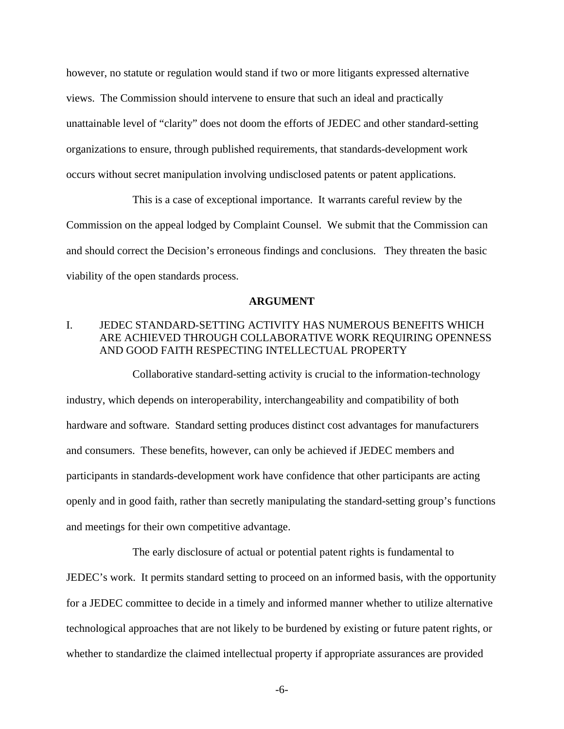however, no statute or regulation would stand if two or more litigants expressed alternative views. The Commission should intervene to ensure that such an ideal and practically unattainable level of "clarity" does not doom the efforts of JEDEC and other standard-setting organizations to ensure, through published requirements, that standards-development work occurs without secret manipulation involving undisclosed patents or patent applications.

This is a case of exceptional importance. It warrants careful review by the Commission on the appeal lodged by Complaint Counsel. We submit that the Commission can and should correct the Decision's erroneous findings and conclusions. They threaten the basic viability of the open standards process.

#### **ARGUMENT**

# I. JEDEC STANDARD-SETTING ACTIVITY HAS NUMEROUS BENEFITS WHICH ARE ACHIEVED THROUGH COLLABORATIVE WORK REQUIRING OPENNESS AND GOOD FAITH RESPECTING INTELLECTUAL PROPERTY

Collaborative standard-setting activity is crucial to the information-technology industry, which depends on interoperability, interchangeability and compatibility of both hardware and software. Standard setting produces distinct cost advantages for manufacturers and consumers. These benefits, however, can only be achieved if JEDEC members and participants in standards-development work have confidence that other participants are acting openly and in good faith, rather than secretly manipulating the standard-setting group's functions and meetings for their own competitive advantage.

The early disclosure of actual or potential patent rights is fundamental to JEDEC's work. It permits standard setting to proceed on an informed basis, with the opportunity for a JEDEC committee to decide in a timely and informed manner whether to utilize alternative technological approaches that are not likely to be burdened by existing or future patent rights, or whether to standardize the claimed intellectual property if appropriate assurances are provided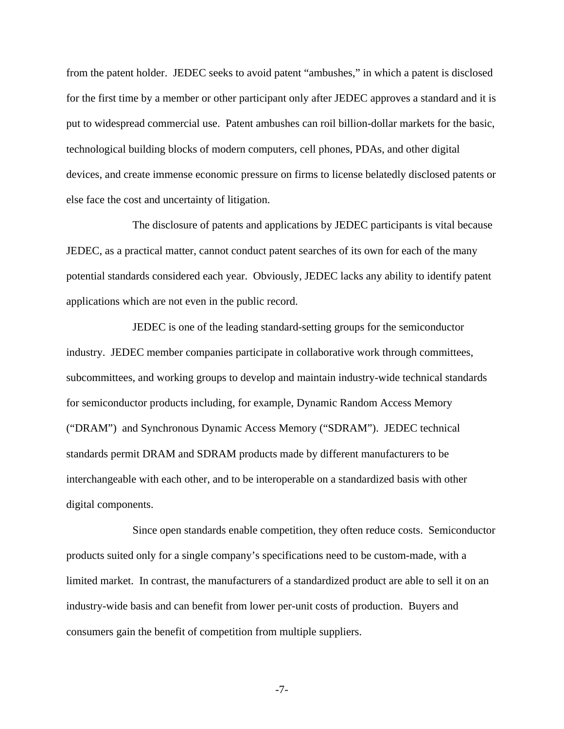from the patent holder. JEDEC seeks to avoid patent "ambushes," in which a patent is disclosed for the first time by a member or other participant only after JEDEC approves a standard and it is put to widespread commercial use. Patent ambushes can roil billion-dollar markets for the basic, technological building blocks of modern computers, cell phones, PDAs, and other digital devices, and create immense economic pressure on firms to license belatedly disclosed patents or else face the cost and uncertainty of litigation.

The disclosure of patents and applications by JEDEC participants is vital because JEDEC, as a practical matter, cannot conduct patent searches of its own for each of the many potential standards considered each year. Obviously, JEDEC lacks any ability to identify patent applications which are not even in the public record.

JEDEC is one of the leading standard-setting groups for the semiconductor industry. JEDEC member companies participate in collaborative work through committees, subcommittees, and working groups to develop and maintain industry-wide technical standards for semiconductor products including, for example, Dynamic Random Access Memory ("DRAM") and Synchronous Dynamic Access Memory ("SDRAM"). JEDEC technical standards permit DRAM and SDRAM products made by different manufacturers to be interchangeable with each other, and to be interoperable on a standardized basis with other digital components.

Since open standards enable competition, they often reduce costs. Semiconductor products suited only for a single company's specifications need to be custom-made, with a limited market. In contrast, the manufacturers of a standardized product are able to sell it on an industry-wide basis and can benefit from lower per-unit costs of production. Buyers and consumers gain the benefit of competition from multiple suppliers.

-7-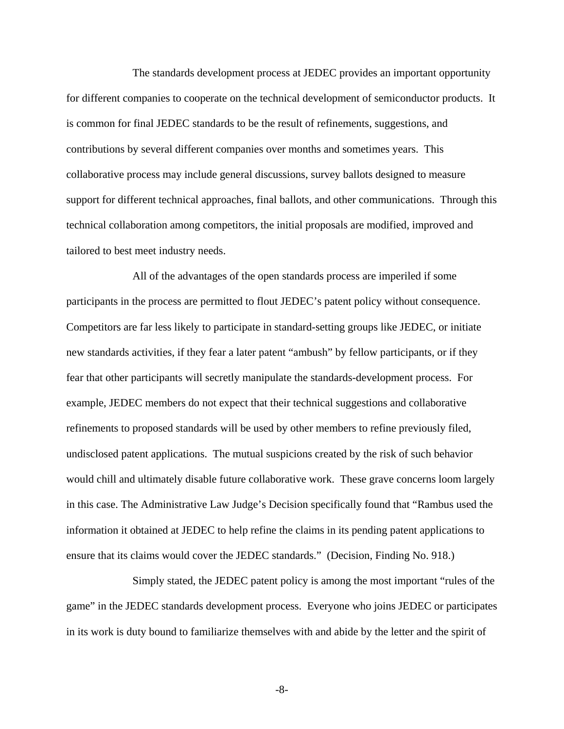The standards development process at JEDEC provides an important opportunity for different companies to cooperate on the technical development of semiconductor products. It is common for final JEDEC standards to be the result of refinements, suggestions, and contributions by several different companies over months and sometimes years. This collaborative process may include general discussions, survey ballots designed to measure support for different technical approaches, final ballots, and other communications. Through this technical collaboration among competitors, the initial proposals are modified, improved and tailored to best meet industry needs.

All of the advantages of the open standards process are imperiled if some participants in the process are permitted to flout JEDEC's patent policy without consequence. Competitors are far less likely to participate in standard-setting groups like JEDEC, or initiate new standards activities, if they fear a later patent "ambush" by fellow participants, or if they fear that other participants will secretly manipulate the standards-development process. For example, JEDEC members do not expect that their technical suggestions and collaborative refinements to proposed standards will be used by other members to refine previously filed, undisclosed patent applications. The mutual suspicions created by the risk of such behavior would chill and ultimately disable future collaborative work. These grave concerns loom largely in this case. The Administrative Law Judge's Decision specifically found that "Rambus used the information it obtained at JEDEC to help refine the claims in its pending patent applications to ensure that its claims would cover the JEDEC standards." (Decision, Finding No. 918.)

Simply stated, the JEDEC patent policy is among the most important "rules of the game" in the JEDEC standards development process. Everyone who joins JEDEC or participates in its work is duty bound to familiarize themselves with and abide by the letter and the spirit of

-8-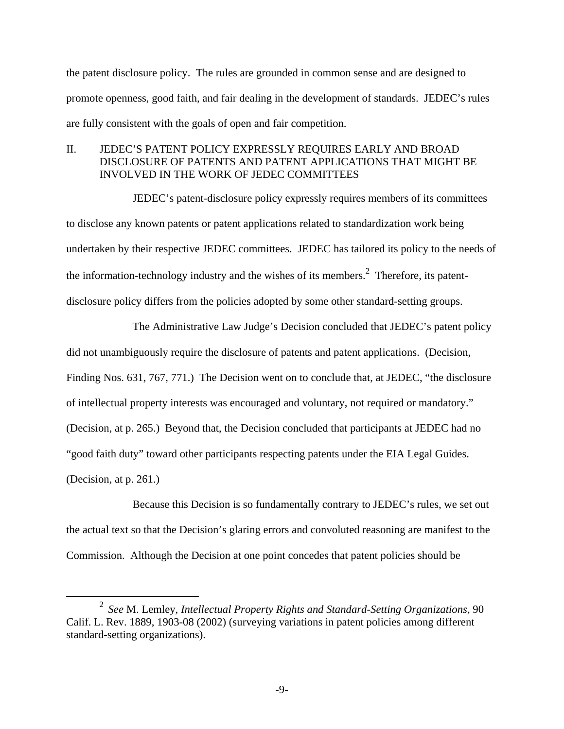the patent disclosure policy. The rules are grounded in common sense and are designed to promote openness, good faith, and fair dealing in the development of standards. JEDEC's rules are fully consistent with the goals of open and fair competition.

## II. JEDEC'S PATENT POLICY EXPRESSLY REQUIRES EARLY AND BROAD DISCLOSURE OF PATENTS AND PATENT APPLICATIONS THAT MIGHT BE INVOLVED IN THE WORK OF JEDEC COMMITTEES

JEDEC's patent-disclosure policy expressly requires members of its committees to disclose any known patents or patent applications related to standardization work being undertaken by their respective JEDEC committees. JEDEC has tailored its policy to the needs of the information-technology industry and the wishes of its members.<sup>2</sup> Therefore, its patentdisclosure policy differs from the policies adopted by some other standard-setting groups.

The Administrative Law Judge's Decision concluded that JEDEC's patent policy did not unambiguously require the disclosure of patents and patent applications. (Decision, Finding Nos. 631, 767, 771.) The Decision went on to conclude that, at JEDEC, "the disclosure of intellectual property interests was encouraged and voluntary, not required or mandatory." (Decision, at p. 265.) Beyond that, the Decision concluded that participants at JEDEC had no "good faith duty" toward other participants respecting patents under the EIA Legal Guides. (Decision, at p. 261.)

Because this Decision is so fundamentally contrary to JEDEC's rules, we set out the actual text so that the Decision's glaring errors and convoluted reasoning are manifest to the Commission. Although the Decision at one point concedes that patent policies should be

 $\frac{1}{2}$  *See* M. Lemley, *Intellectual Property Rights and Standard-Setting Organizations*, 90 Calif. L. Rev. 1889, 1903-08 (2002) (surveying variations in patent policies among different standard-setting organizations).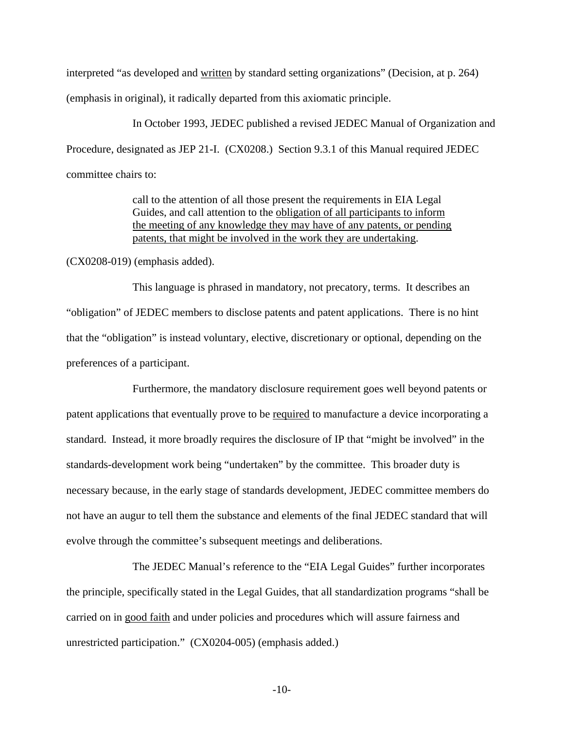interpreted "as developed and written by standard setting organizations" (Decision, at p. 264) (emphasis in original), it radically departed from this axiomatic principle.

In October 1993, JEDEC published a revised JEDEC Manual of Organization and Procedure, designated as JEP 21-I. (CX0208.) Section 9.3.1 of this Manual required JEDEC committee chairs to:

> call to the attention of all those present the requirements in EIA Legal Guides, and call attention to the obligation of all participants to inform the meeting of any knowledge they may have of any patents, or pending patents, that might be involved in the work they are undertaking.

(CX0208-019) (emphasis added).

This language is phrased in mandatory, not precatory, terms. It describes an "obligation" of JEDEC members to disclose patents and patent applications. There is no hint that the "obligation" is instead voluntary, elective, discretionary or optional, depending on the preferences of a participant.

Furthermore, the mandatory disclosure requirement goes well beyond patents or patent applications that eventually prove to be required to manufacture a device incorporating a standard. Instead, it more broadly requires the disclosure of IP that "might be involved" in the standards-development work being "undertaken" by the committee. This broader duty is necessary because, in the early stage of standards development, JEDEC committee members do not have an augur to tell them the substance and elements of the final JEDEC standard that will evolve through the committee's subsequent meetings and deliberations.

The JEDEC Manual's reference to the "EIA Legal Guides" further incorporates the principle, specifically stated in the Legal Guides, that all standardization programs "shall be carried on in good faith and under policies and procedures which will assure fairness and unrestricted participation." (CX0204-005) (emphasis added.)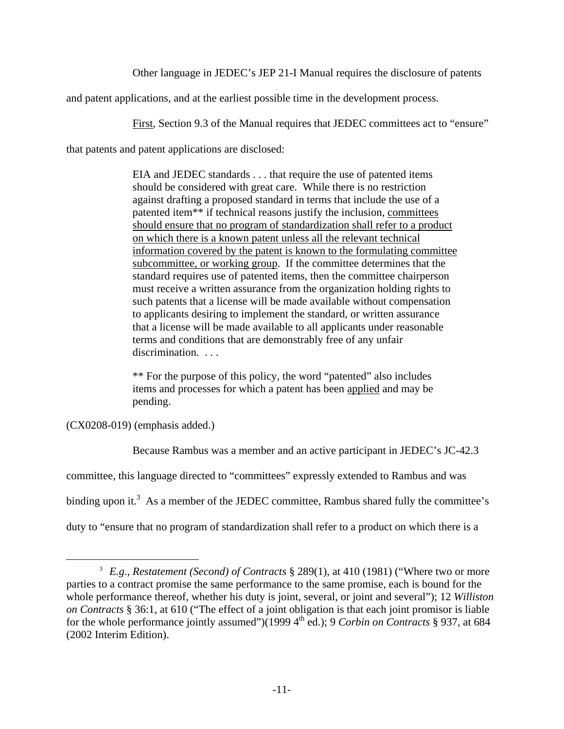Other language in JEDEC's JEP 21-I Manual requires the disclosure of patents

and patent applications, and at the earliest possible time in the development process.

First, Section 9.3 of the Manual requires that JEDEC committees act to "ensure"

that patents and patent applications are disclosed:

EIA and JEDEC standards . . . that require the use of patented items should be considered with great care. While there is no restriction against drafting a proposed standard in terms that include the use of a patented item\*\* if technical reasons justify the inclusion, committees should ensure that no program of standardization shall refer to a product on which there is a known patent unless all the relevant technical information covered by the patent is known to the formulating committee subcommittee, or working group. If the committee determines that the standard requires use of patented items, then the committee chairperson must receive a written assurance from the organization holding rights to such patents that a license will be made available without compensation to applicants desiring to implement the standard, or written assurance that a license will be made available to all applicants under reasonable terms and conditions that are demonstrably free of any unfair discrimination. . . .

\*\* For the purpose of this policy, the word "patented" also includes items and processes for which a patent has been applied and may be pending.

(CX0208-019) (emphasis added.)

Because Rambus was a member and an active participant in JEDEC's JC-42.3

committee, this language directed to "committees" expressly extended to Rambus and was

binding upon it.<sup>3</sup> As a member of the JEDEC committee, Rambus shared fully the committee's

duty to "ensure that no program of standardization shall refer to a product on which there is a

 $\frac{1}{3}$  *E.g*., *Restatement (Second) of Contracts* § 289(1), at 410 (1981) ("Where two or more parties to a contract promise the same performance to the same promise, each is bound for the whole performance thereof, whether his duty is joint, several, or joint and several"); 12 *Williston on Contracts* § 36:1, at 610 ("The effect of a joint obligation is that each joint promisor is liable for the whole performance jointly assumed")(1999 4<sup>th</sup> ed.); 9 *Corbin on Contracts* § 937, at 684 (2002 Interim Edition).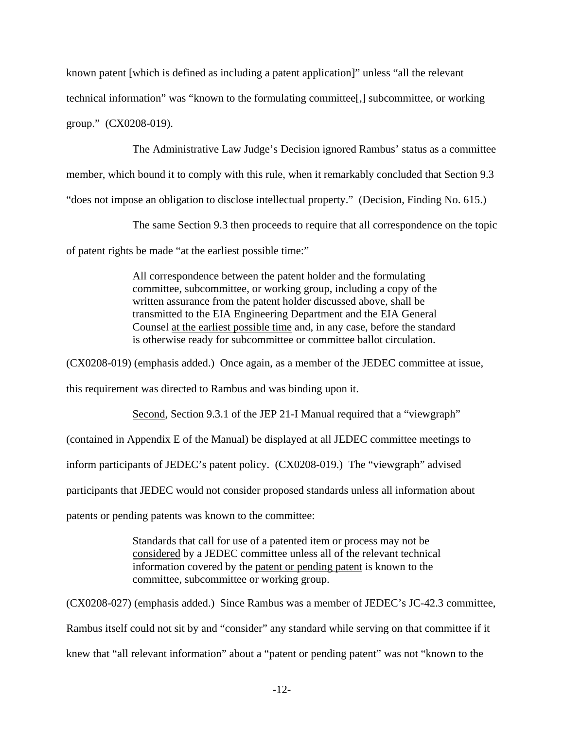known patent [which is defined as including a patent application]" unless "all the relevant technical information" was "known to the formulating committee[,] subcommittee, or working group." (CX0208-019).

The Administrative Law Judge's Decision ignored Rambus' status as a committee member, which bound it to comply with this rule, when it remarkably concluded that Section 9.3 "does not impose an obligation to disclose intellectual property." (Decision, Finding No. 615.)

The same Section 9.3 then proceeds to require that all correspondence on the topic of patent rights be made "at the earliest possible time:"

> All correspondence between the patent holder and the formulating committee, subcommittee, or working group, including a copy of the written assurance from the patent holder discussed above, shall be transmitted to the EIA Engineering Department and the EIA General Counsel at the earliest possible time and, in any case, before the standard is otherwise ready for subcommittee or committee ballot circulation.

(CX0208-019) (emphasis added.) Once again, as a member of the JEDEC committee at issue,

this requirement was directed to Rambus and was binding upon it.

Second, Section 9.3.1 of the JEP 21-I Manual required that a "viewgraph"

(contained in Appendix E of the Manual) be displayed at all JEDEC committee meetings to

inform participants of JEDEC's patent policy. (CX0208-019.) The "viewgraph" advised

participants that JEDEC would not consider proposed standards unless all information about

patents or pending patents was known to the committee:

Standards that call for use of a patented item or process may not be considered by a JEDEC committee unless all of the relevant technical information covered by the patent or pending patent is known to the committee, subcommittee or working group.

(CX0208-027) (emphasis added.) Since Rambus was a member of JEDEC's JC-42.3 committee, Rambus itself could not sit by and "consider" any standard while serving on that committee if it knew that "all relevant information" about a "patent or pending patent" was not "known to the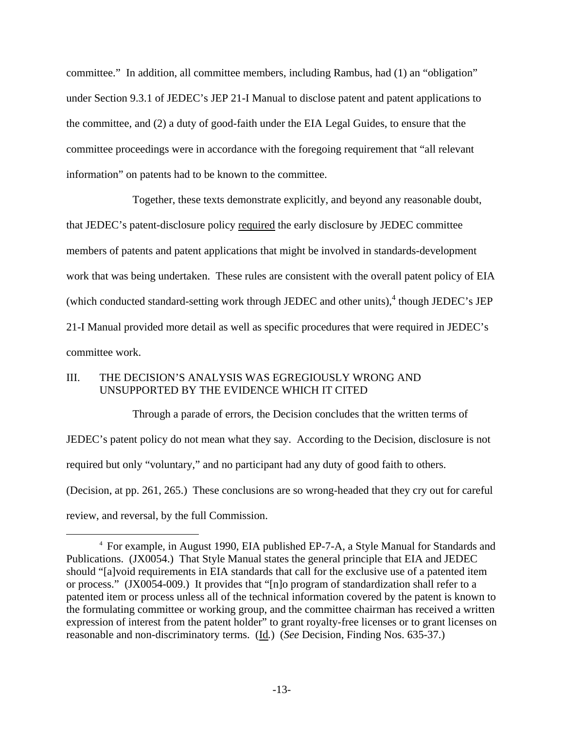committee." In addition, all committee members, including Rambus, had (1) an "obligation" under Section 9.3.1 of JEDEC's JEP 21-I Manual to disclose patent and patent applications to the committee, and (2) a duty of good-faith under the EIA Legal Guides, to ensure that the committee proceedings were in accordance with the foregoing requirement that "all relevant information" on patents had to be known to the committee.

Together, these texts demonstrate explicitly, and beyond any reasonable doubt, that JEDEC's patent-disclosure policy required the early disclosure by JEDEC committee members of patents and patent applications that might be involved in standards-development work that was being undertaken. These rules are consistent with the overall patent policy of EIA (which conducted standard-setting work through JEDEC and other units), $4$  though JEDEC's JEP 21-I Manual provided more detail as well as specific procedures that were required in JEDEC's committee work.

# III. THE DECISION'S ANALYSIS WAS EGREGIOUSLY WRONG AND UNSUPPORTED BY THE EVIDENCE WHICH IT CITED

Through a parade of errors, the Decision concludes that the written terms of JEDEC's patent policy do not mean what they say. According to the Decision, disclosure is not required but only "voluntary," and no participant had any duty of good faith to others. (Decision, at pp. 261, 265.) These conclusions are so wrong-headed that they cry out for careful review, and reversal, by the full Commission.

 $\overline{\phantom{a}}$  For example, in August 1990, EIA published EP-7-A, a Style Manual for Standards and Publications. (JX0054.) That Style Manual states the general principle that EIA and JEDEC should "[a]void requirements in EIA standards that call for the exclusive use of a patented item or process." (JX0054-009.) It provides that "[n]o program of standardization shall refer to a patented item or process unless all of the technical information covered by the patent is known to the formulating committee or working group, and the committee chairman has received a written expression of interest from the patent holder" to grant royalty-free licenses or to grant licenses on reasonable and non-discriminatory terms. (Id*.*) (*See* Decision, Finding Nos. 635-37.)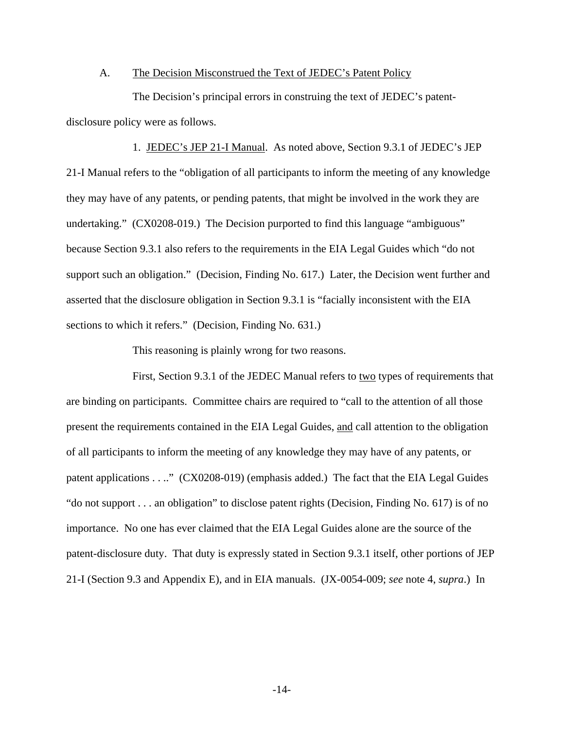#### A. The Decision Misconstrued the Text of JEDEC's Patent Policy

The Decision's principal errors in construing the text of JEDEC's patentdisclosure policy were as follows.

1. JEDEC's JEP 21-I Manual. As noted above, Section 9.3.1 of JEDEC's JEP 21-I Manual refers to the "obligation of all participants to inform the meeting of any knowledge they may have of any patents, or pending patents, that might be involved in the work they are undertaking." (CX0208-019.) The Decision purported to find this language "ambiguous" because Section 9.3.1 also refers to the requirements in the EIA Legal Guides which "do not support such an obligation." (Decision, Finding No. 617.) Later, the Decision went further and asserted that the disclosure obligation in Section 9.3.1 is "facially inconsistent with the EIA sections to which it refers." (Decision, Finding No. 631.)

This reasoning is plainly wrong for two reasons.

First, Section 9.3.1 of the JEDEC Manual refers to two types of requirements that are binding on participants. Committee chairs are required to "call to the attention of all those present the requirements contained in the EIA Legal Guides, and call attention to the obligation of all participants to inform the meeting of any knowledge they may have of any patents, or patent applications . . .." (CX0208-019) (emphasis added.) The fact that the EIA Legal Guides "do not support . . . an obligation" to disclose patent rights (Decision, Finding No. 617) is of no importance. No one has ever claimed that the EIA Legal Guides alone are the source of the patent-disclosure duty. That duty is expressly stated in Section 9.3.1 itself, other portions of JEP 21-I (Section 9.3 and Appendix E), and in EIA manuals. (JX-0054-009; *see* note 4, *supra*.) In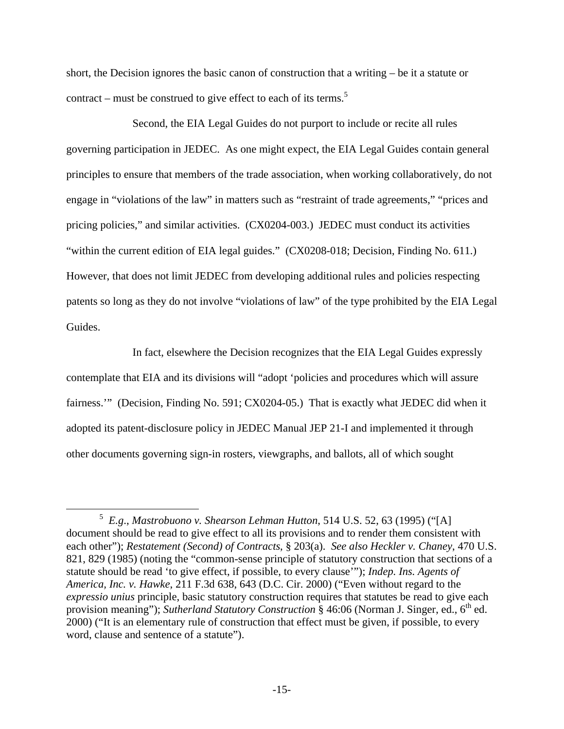short, the Decision ignores the basic canon of construction that a writing – be it a statute or contract – must be construed to give effect to each of its terms.<sup>5</sup>

Second, the EIA Legal Guides do not purport to include or recite all rules governing participation in JEDEC. As one might expect, the EIA Legal Guides contain general principles to ensure that members of the trade association, when working collaboratively, do not engage in "violations of the law" in matters such as "restraint of trade agreements," "prices and pricing policies," and similar activities. (CX0204-003.) JEDEC must conduct its activities "within the current edition of EIA legal guides." (CX0208-018; Decision, Finding No. 611.) However, that does not limit JEDEC from developing additional rules and policies respecting patents so long as they do not involve "violations of law" of the type prohibited by the EIA Legal Guides.

In fact, elsewhere the Decision recognizes that the EIA Legal Guides expressly contemplate that EIA and its divisions will "adopt 'policies and procedures which will assure fairness."" (Decision, Finding No. 591; CX0204-05.) That is exactly what JEDEC did when it adopted its patent-disclosure policy in JEDEC Manual JEP 21-I and implemented it through other documents governing sign-in rosters, viewgraphs, and ballots, all of which sought

 $rac{1}{5}$  *E.g*., *Mastrobuono v. Shearson Lehman Hutton*, 514 U.S. 52, 63 (1995) ("[A] document should be read to give effect to all its provisions and to render them consistent with each other"); *Restatement (Second) of Contracts*, § 203(a). *See also Heckler v. Chaney*, 470 U.S. 821, 829 (1985) (noting the "common-sense principle of statutory construction that sections of a statute should be read 'to give effect, if possible, to every clause'"); *Indep. Ins. Agents of America, Inc. v. Hawke*, 211 F.3d 638, 643 (D.C. Cir. 2000) ("Even without regard to the *expressio unius* principle, basic statutory construction requires that statutes be read to give each provision meaning"); *Sutherland Statutory Construction* § 46:06 (Norman J. Singer, ed., 6<sup>th</sup> ed. 2000) ("It is an elementary rule of construction that effect must be given, if possible, to every word, clause and sentence of a statute").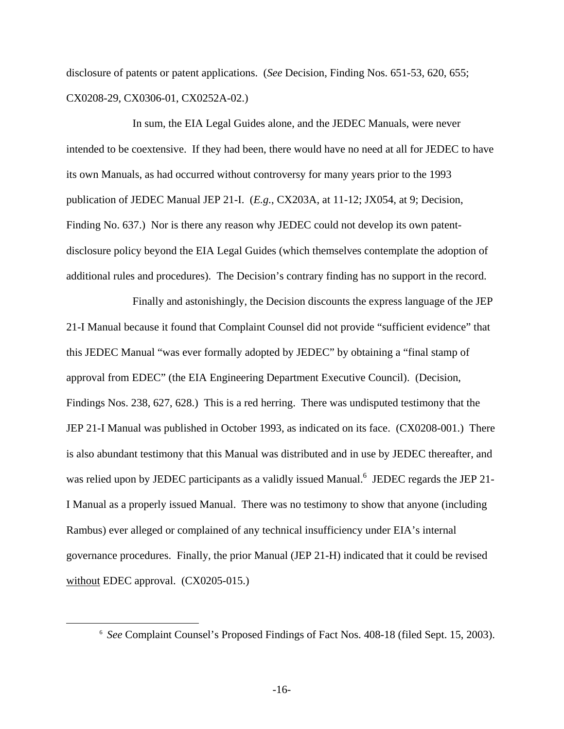disclosure of patents or patent applications. (*See* Decision, Finding Nos. 651-53, 620, 655; CX0208-29, CX0306-01, CX0252A-02.)

In sum, the EIA Legal Guides alone, and the JEDEC Manuals, were never intended to be coextensive. If they had been, there would have no need at all for JEDEC to have its own Manuals, as had occurred without controversy for many years prior to the 1993 publication of JEDEC Manual JEP 21-I. (*E.g.*, CX203A, at 11-12; JX054, at 9; Decision, Finding No. 637.) Nor is there any reason why JEDEC could not develop its own patentdisclosure policy beyond the EIA Legal Guides (which themselves contemplate the adoption of additional rules and procedures). The Decision's contrary finding has no support in the record.

Finally and astonishingly, the Decision discounts the express language of the JEP 21-I Manual because it found that Complaint Counsel did not provide "sufficient evidence" that this JEDEC Manual "was ever formally adopted by JEDEC" by obtaining a "final stamp of approval from EDEC" (the EIA Engineering Department Executive Council). (Decision, Findings Nos. 238, 627, 628.) This is a red herring. There was undisputed testimony that the JEP 21-I Manual was published in October 1993, as indicated on its face. (CX0208-001.) There is also abundant testimony that this Manual was distributed and in use by JEDEC thereafter, and was relied upon by JEDEC participants as a validly issued Manual.<sup>6</sup> JEDEC regards the JEP 21-I Manual as a properly issued Manual. There was no testimony to show that anyone (including Rambus) ever alleged or complained of any technical insufficiency under EIA's internal governance procedures. Finally, the prior Manual (JEP 21-H) indicated that it could be revised without EDEC approval. (CX0205-015.)

 <sup>6</sup> *See* Complaint Counsel's Proposed Findings of Fact Nos. 408-18 (filed Sept. 15, 2003).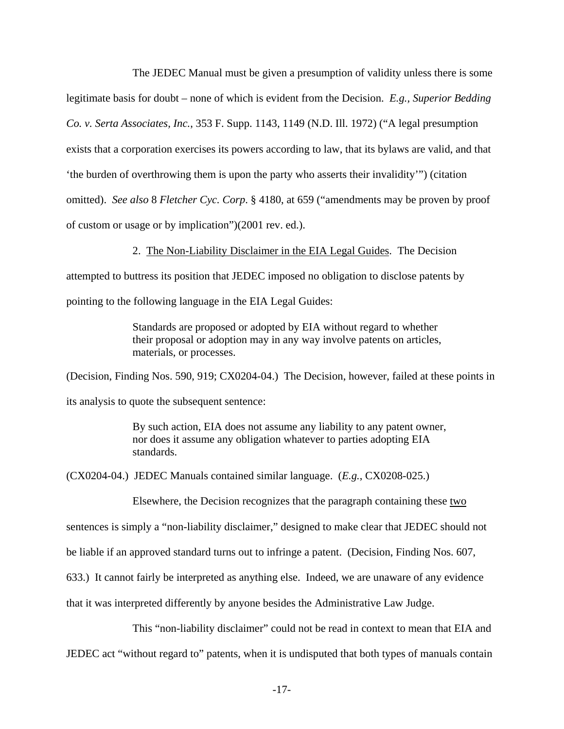The JEDEC Manual must be given a presumption of validity unless there is some legitimate basis for doubt – none of which is evident from the Decision. *E.g., Superior Bedding Co. v. Serta Associates, Inc.*, 353 F. Supp. 1143, 1149 (N.D. Ill. 1972) ("A legal presumption exists that a corporation exercises its powers according to law, that its bylaws are valid, and that 'the burden of overthrowing them is upon the party who asserts their invalidity'") (citation omitted). *See also* 8 *Fletcher Cyc. Corp*. § 4180, at 659 ("amendments may be proven by proof of custom or usage or by implication")(2001 rev. ed.).

2. The Non-Liability Disclaimer in the EIA Legal Guides. The Decision

attempted to buttress its position that JEDEC imposed no obligation to disclose patents by pointing to the following language in the EIA Legal Guides:

> Standards are proposed or adopted by EIA without regard to whether their proposal or adoption may in any way involve patents on articles, materials, or processes.

(Decision, Finding Nos. 590, 919; CX0204-04.) The Decision, however, failed at these points in its analysis to quote the subsequent sentence:

> By such action, EIA does not assume any liability to any patent owner, nor does it assume any obligation whatever to parties adopting EIA standards.

(CX0204-04.) JEDEC Manuals contained similar language. (*E.g.*, CX0208-025.)

Elsewhere, the Decision recognizes that the paragraph containing these two

sentences is simply a "non-liability disclaimer," designed to make clear that JEDEC should not

be liable if an approved standard turns out to infringe a patent. (Decision, Finding Nos. 607,

633.) It cannot fairly be interpreted as anything else. Indeed, we are unaware of any evidence

that it was interpreted differently by anyone besides the Administrative Law Judge.

This "non-liability disclaimer" could not be read in context to mean that EIA and JEDEC act "without regard to" patents, when it is undisputed that both types of manuals contain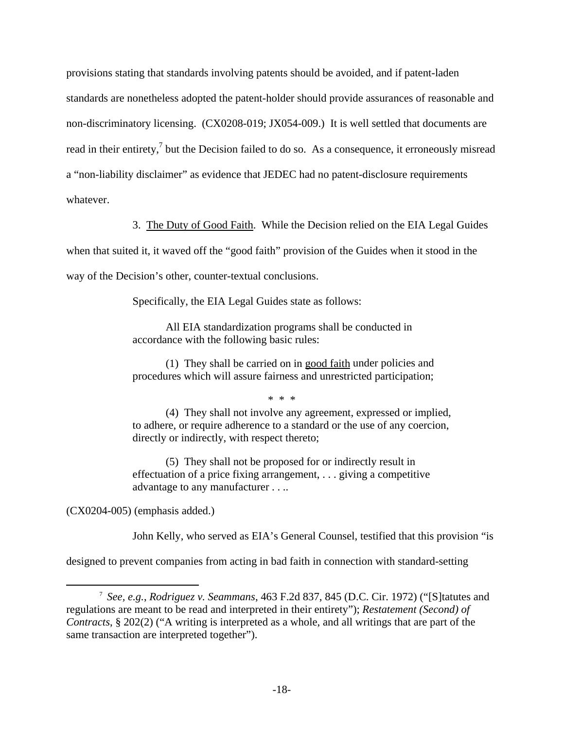provisions stating that standards involving patents should be avoided, and if patent-laden standards are nonetheless adopted the patent-holder should provide assurances of reasonable and non-discriminatory licensing. (CX0208-019; JX054-009.) It is well settled that documents are read in their entirety,<sup>7</sup> but the Decision failed to do so. As a consequence, it erroneously misread a "non-liability disclaimer" as evidence that JEDEC had no patent-disclosure requirements whatever.

3. The Duty of Good Faith. While the Decision relied on the EIA Legal Guides

when that suited it, it waved off the "good faith" provision of the Guides when it stood in the

way of the Decision's other, counter-textual conclusions.

Specifically, the EIA Legal Guides state as follows:

All EIA standardization programs shall be conducted in accordance with the following basic rules:

(1) They shall be carried on in good faith under policies and procedures which will assure fairness and unrestricted participation;

\* \* \*

(4) They shall not involve any agreement, expressed or implied, to adhere, or require adherence to a standard or the use of any coercion, directly or indirectly, with respect thereto;

(5) They shall not be proposed for or indirectly result in effectuation of a price fixing arrangement, . . . giving a competitive advantage to any manufacturer . . ..

(CX0204-005) (emphasis added.)

John Kelly, who served as EIA's General Counsel, testified that this provision "is

designed to prevent companies from acting in bad faith in connection with standard-setting

 $\overline{\phantom{a}}$  *See, e.g.*, *Rodriguez v. Seammans*, 463 F.2d 837, 845 (D.C. Cir. 1972) ("[S]tatutes and regulations are meant to be read and interpreted in their entirety"); *Restatement (Second) of Contracts*, § 202(2) ("A writing is interpreted as a whole, and all writings that are part of the same transaction are interpreted together").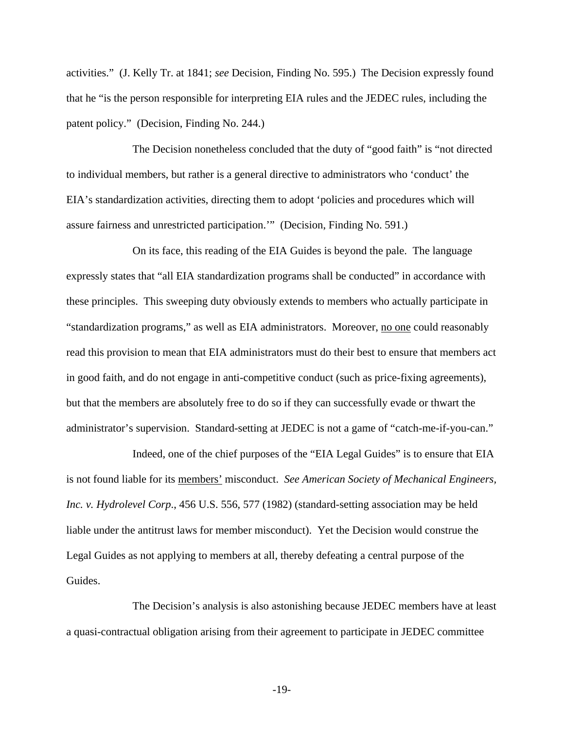activities." (J. Kelly Tr. at 1841; *see* Decision, Finding No. 595.) The Decision expressly found that he "is the person responsible for interpreting EIA rules and the JEDEC rules, including the patent policy." (Decision, Finding No. 244.)

The Decision nonetheless concluded that the duty of "good faith" is "not directed to individual members, but rather is a general directive to administrators who 'conduct' the EIA's standardization activities, directing them to adopt 'policies and procedures which will assure fairness and unrestricted participation.'" (Decision, Finding No. 591.)

On its face, this reading of the EIA Guides is beyond the pale. The language expressly states that "all EIA standardization programs shall be conducted" in accordance with these principles. This sweeping duty obviously extends to members who actually participate in "standardization programs," as well as EIA administrators. Moreover, no one could reasonably read this provision to mean that EIA administrators must do their best to ensure that members act in good faith, and do not engage in anti-competitive conduct (such as price-fixing agreements), but that the members are absolutely free to do so if they can successfully evade or thwart the administrator's supervision. Standard-setting at JEDEC is not a game of "catch-me-if-you-can."

Indeed, one of the chief purposes of the "EIA Legal Guides" is to ensure that EIA is not found liable for its members' misconduct. *See American Society of Mechanical Engineers, Inc. v. Hydrolevel Corp*., 456 U.S. 556, 577 (1982) (standard-setting association may be held liable under the antitrust laws for member misconduct). Yet the Decision would construe the Legal Guides as not applying to members at all, thereby defeating a central purpose of the Guides.

The Decision's analysis is also astonishing because JEDEC members have at least a quasi-contractual obligation arising from their agreement to participate in JEDEC committee

-19-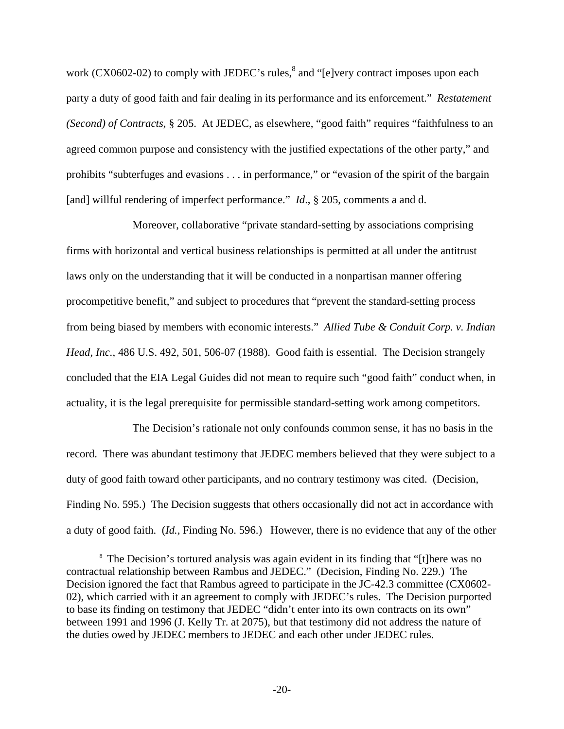work  $(CX0602-02)$  to comply with JEDEC's rules,<sup>8</sup> and "[e]very contract imposes upon each party a duty of good faith and fair dealing in its performance and its enforcement." *Restatement (Second) of Contracts*, § 205. At JEDEC, as elsewhere, "good faith" requires "faithfulness to an agreed common purpose and consistency with the justified expectations of the other party," and prohibits "subterfuges and evasions . . . in performance," or "evasion of the spirit of the bargain [and] willful rendering of imperfect performance." *Id.*, § 205, comments a and d.

Moreover, collaborative "private standard-setting by associations comprising firms with horizontal and vertical business relationships is permitted at all under the antitrust laws only on the understanding that it will be conducted in a nonpartisan manner offering procompetitive benefit," and subject to procedures that "prevent the standard-setting process from being biased by members with economic interests." *Allied Tube & Conduit Corp. v. Indian Head, Inc.*, 486 U.S. 492, 501, 506-07 (1988). Good faith is essential. The Decision strangely concluded that the EIA Legal Guides did not mean to require such "good faith" conduct when, in actuality, it is the legal prerequisite for permissible standard-setting work among competitors.

The Decision's rationale not only confounds common sense, it has no basis in the record. There was abundant testimony that JEDEC members believed that they were subject to a duty of good faith toward other participants, and no contrary testimony was cited. (Decision, Finding No. 595.) The Decision suggests that others occasionally did not act in accordance with a duty of good faith. (*Id.,* Finding No. 596.) However, there is no evidence that any of the other

 $\frac{1}{8}$ <sup>8</sup> The Decision's tortured analysis was again evident in its finding that "[t]here was no contractual relationship between Rambus and JEDEC." (Decision, Finding No. 229.) The Decision ignored the fact that Rambus agreed to participate in the JC-42.3 committee (CX0602- 02), which carried with it an agreement to comply with JEDEC's rules. The Decision purported to base its finding on testimony that JEDEC "didn't enter into its own contracts on its own" between 1991 and 1996 (J. Kelly Tr. at 2075), but that testimony did not address the nature of the duties owed by JEDEC members to JEDEC and each other under JEDEC rules.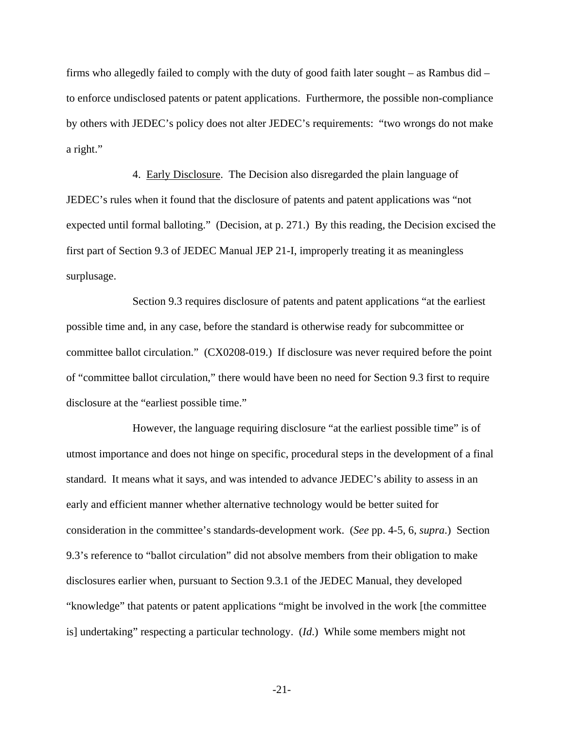firms who allegedly failed to comply with the duty of good faith later sought – as Rambus did – to enforce undisclosed patents or patent applications. Furthermore, the possible non-compliance by others with JEDEC's policy does not alter JEDEC's requirements: "two wrongs do not make a right."

4. Early Disclosure. The Decision also disregarded the plain language of JEDEC's rules when it found that the disclosure of patents and patent applications was "not expected until formal balloting." (Decision, at p. 271.) By this reading, the Decision excised the first part of Section 9.3 of JEDEC Manual JEP 21-I, improperly treating it as meaningless surplusage.

Section 9.3 requires disclosure of patents and patent applications "at the earliest possible time and, in any case, before the standard is otherwise ready for subcommittee or committee ballot circulation." (CX0208-019.) If disclosure was never required before the point of "committee ballot circulation," there would have been no need for Section 9.3 first to require disclosure at the "earliest possible time."

However, the language requiring disclosure "at the earliest possible time" is of utmost importance and does not hinge on specific, procedural steps in the development of a final standard. It means what it says, and was intended to advance JEDEC's ability to assess in an early and efficient manner whether alternative technology would be better suited for consideration in the committee's standards-development work. (*See* pp. 4-5, 6, *supra*.) Section 9.3's reference to "ballot circulation" did not absolve members from their obligation to make disclosures earlier when, pursuant to Section 9.3.1 of the JEDEC Manual, they developed "knowledge" that patents or patent applications "might be involved in the work [the committee is] undertaking" respecting a particular technology. (*Id*.) While some members might not

-21-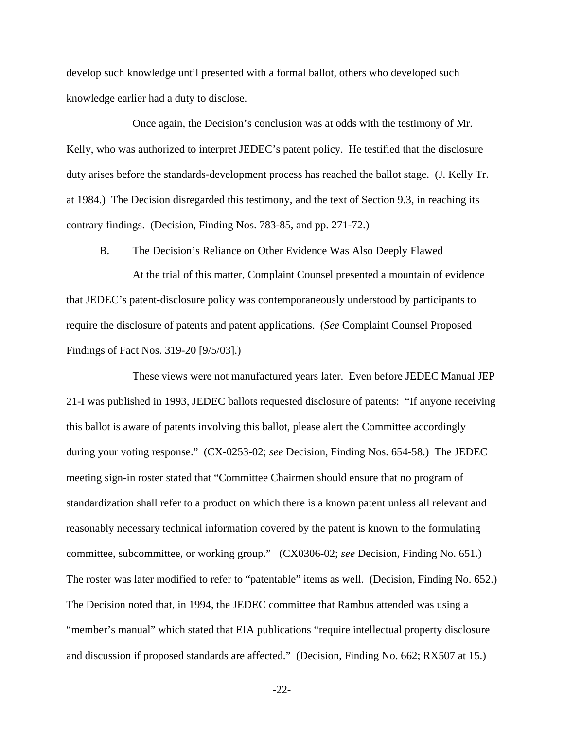develop such knowledge until presented with a formal ballot, others who developed such knowledge earlier had a duty to disclose.

Once again, the Decision's conclusion was at odds with the testimony of Mr. Kelly, who was authorized to interpret JEDEC's patent policy. He testified that the disclosure duty arises before the standards-development process has reached the ballot stage. (J. Kelly Tr. at 1984.) The Decision disregarded this testimony, and the text of Section 9.3, in reaching its contrary findings. (Decision, Finding Nos. 783-85, and pp. 271-72.)

#### B. The Decision's Reliance on Other Evidence Was Also Deeply Flawed

At the trial of this matter, Complaint Counsel presented a mountain of evidence that JEDEC's patent-disclosure policy was contemporaneously understood by participants to require the disclosure of patents and patent applications. (*See* Complaint Counsel Proposed Findings of Fact Nos. 319-20 [9/5/03].)

These views were not manufactured years later. Even before JEDEC Manual JEP 21-I was published in 1993, JEDEC ballots requested disclosure of patents: "If anyone receiving this ballot is aware of patents involving this ballot, please alert the Committee accordingly during your voting response." (CX-0253-02; *see* Decision, Finding Nos. 654-58.) The JEDEC meeting sign-in roster stated that "Committee Chairmen should ensure that no program of standardization shall refer to a product on which there is a known patent unless all relevant and reasonably necessary technical information covered by the patent is known to the formulating committee, subcommittee, or working group." (CX0306-02; *see* Decision, Finding No. 651.) The roster was later modified to refer to "patentable" items as well. (Decision, Finding No. 652.) The Decision noted that, in 1994, the JEDEC committee that Rambus attended was using a "member's manual" which stated that EIA publications "require intellectual property disclosure and discussion if proposed standards are affected." (Decision, Finding No. 662; RX507 at 15.)

-22-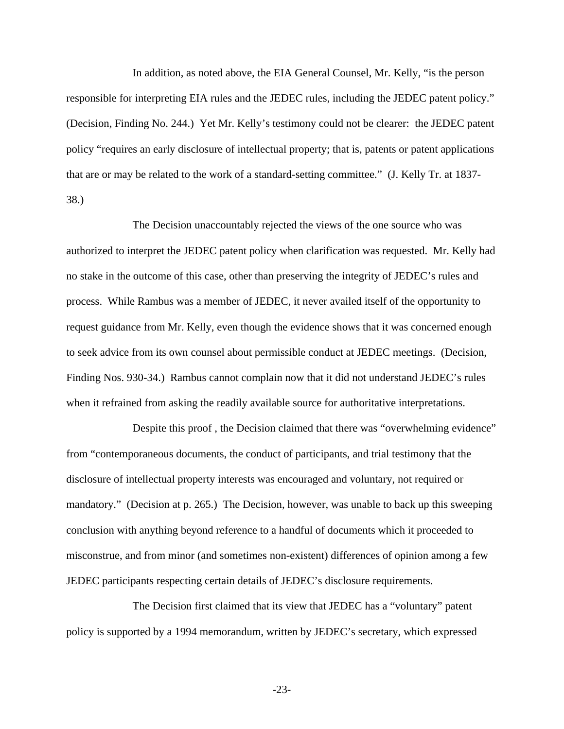In addition, as noted above, the EIA General Counsel, Mr. Kelly, "is the person responsible for interpreting EIA rules and the JEDEC rules, including the JEDEC patent policy." (Decision, Finding No. 244.) Yet Mr. Kelly's testimony could not be clearer: the JEDEC patent policy "requires an early disclosure of intellectual property; that is, patents or patent applications that are or may be related to the work of a standard-setting committee." (J. Kelly Tr. at 1837- 38.)

The Decision unaccountably rejected the views of the one source who was authorized to interpret the JEDEC patent policy when clarification was requested. Mr. Kelly had no stake in the outcome of this case, other than preserving the integrity of JEDEC's rules and process. While Rambus was a member of JEDEC, it never availed itself of the opportunity to request guidance from Mr. Kelly, even though the evidence shows that it was concerned enough to seek advice from its own counsel about permissible conduct at JEDEC meetings. (Decision, Finding Nos. 930-34.) Rambus cannot complain now that it did not understand JEDEC's rules when it refrained from asking the readily available source for authoritative interpretations.

Despite this proof , the Decision claimed that there was "overwhelming evidence" from "contemporaneous documents, the conduct of participants, and trial testimony that the disclosure of intellectual property interests was encouraged and voluntary, not required or mandatory." (Decision at p. 265.) The Decision, however, was unable to back up this sweeping conclusion with anything beyond reference to a handful of documents which it proceeded to misconstrue, and from minor (and sometimes non-existent) differences of opinion among a few JEDEC participants respecting certain details of JEDEC's disclosure requirements.

The Decision first claimed that its view that JEDEC has a "voluntary" patent policy is supported by a 1994 memorandum, written by JEDEC's secretary, which expressed

-23-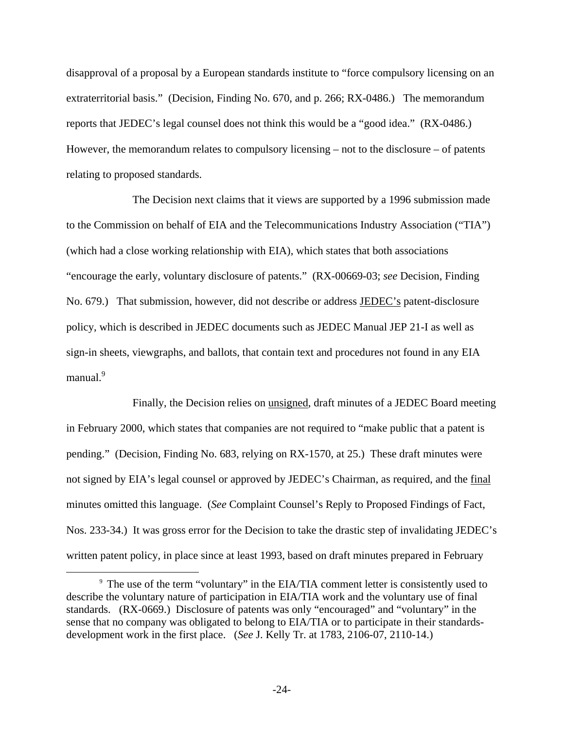disapproval of a proposal by a European standards institute to "force compulsory licensing on an extraterritorial basis." (Decision, Finding No. 670, and p. 266; RX-0486.) The memorandum reports that JEDEC's legal counsel does not think this would be a "good idea." (RX-0486.) However, the memorandum relates to compulsory licensing – not to the disclosure – of patents relating to proposed standards.

The Decision next claims that it views are supported by a 1996 submission made to the Commission on behalf of EIA and the Telecommunications Industry Association ("TIA") (which had a close working relationship with EIA), which states that both associations "encourage the early, voluntary disclosure of patents." (RX-00669-03; *see* Decision, Finding No. 679.) That submission, however, did not describe or address **JEDEC**'s patent-disclosure policy, which is described in JEDEC documents such as JEDEC Manual JEP 21-I as well as sign-in sheets, viewgraphs, and ballots, that contain text and procedures not found in any EIA manual.<sup>9</sup>

Finally, the Decision relies on unsigned, draft minutes of a JEDEC Board meeting in February 2000, which states that companies are not required to "make public that a patent is pending." (Decision, Finding No. 683, relying on RX-1570, at 25.) These draft minutes were not signed by EIA's legal counsel or approved by JEDEC's Chairman, as required, and the final minutes omitted this language. (*See* Complaint Counsel's Reply to Proposed Findings of Fact, Nos. 233-34.) It was gross error for the Decision to take the drastic step of invalidating JEDEC's written patent policy, in place since at least 1993, based on draft minutes prepared in February

 $\frac{1}{9}$ <sup>9</sup> The use of the term "voluntary" in the EIA/TIA comment letter is consistently used to describe the voluntary nature of participation in EIA/TIA work and the voluntary use of final standards. (RX-0669.) Disclosure of patents was only "encouraged" and "voluntary" in the sense that no company was obligated to belong to EIA/TIA or to participate in their standardsdevelopment work in the first place. (*See* J. Kelly Tr. at 1783, 2106-07, 2110-14.)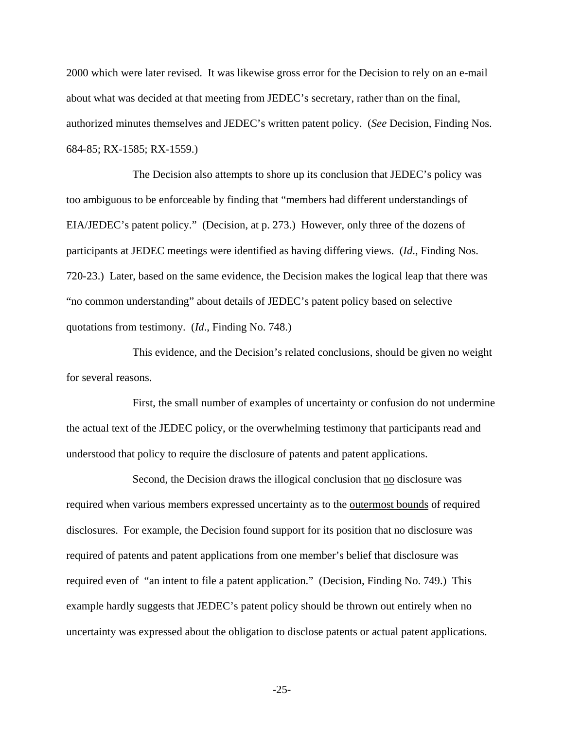2000 which were later revised. It was likewise gross error for the Decision to rely on an e-mail about what was decided at that meeting from JEDEC's secretary, rather than on the final, authorized minutes themselves and JEDEC's written patent policy. (*See* Decision, Finding Nos. 684-85; RX-1585; RX-1559.)

The Decision also attempts to shore up its conclusion that JEDEC's policy was too ambiguous to be enforceable by finding that "members had different understandings of EIA/JEDEC's patent policy." (Decision, at p. 273.) However, only three of the dozens of participants at JEDEC meetings were identified as having differing views. (*Id*., Finding Nos. 720-23.) Later, based on the same evidence, the Decision makes the logical leap that there was "no common understanding" about details of JEDEC's patent policy based on selective quotations from testimony. (*Id*., Finding No. 748.)

This evidence, and the Decision's related conclusions, should be given no weight for several reasons.

First, the small number of examples of uncertainty or confusion do not undermine the actual text of the JEDEC policy, or the overwhelming testimony that participants read and understood that policy to require the disclosure of patents and patent applications.

Second, the Decision draws the illogical conclusion that no disclosure was required when various members expressed uncertainty as to the outermost bounds of required disclosures. For example, the Decision found support for its position that no disclosure was required of patents and patent applications from one member's belief that disclosure was required even of "an intent to file a patent application." (Decision, Finding No. 749.) This example hardly suggests that JEDEC's patent policy should be thrown out entirely when no uncertainty was expressed about the obligation to disclose patents or actual patent applications.

-25-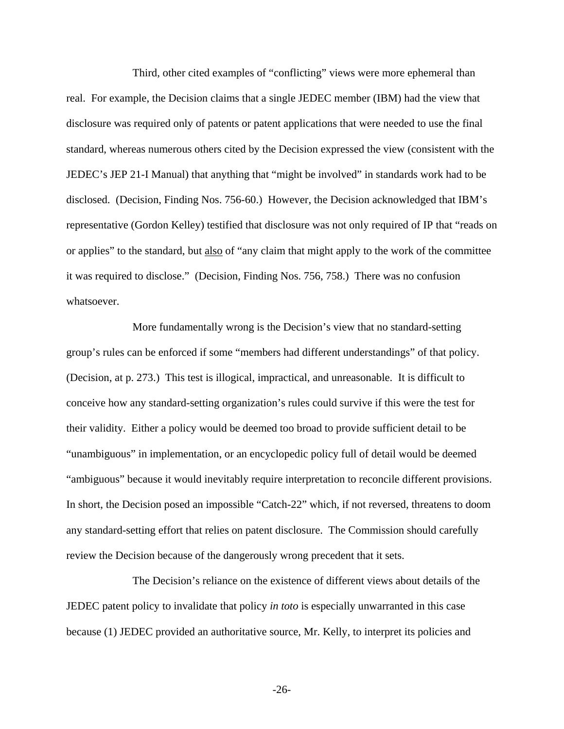Third, other cited examples of "conflicting" views were more ephemeral than real. For example, the Decision claims that a single JEDEC member (IBM) had the view that disclosure was required only of patents or patent applications that were needed to use the final standard, whereas numerous others cited by the Decision expressed the view (consistent with the JEDEC's JEP 21-I Manual) that anything that "might be involved" in standards work had to be disclosed. (Decision, Finding Nos. 756-60.) However, the Decision acknowledged that IBM's representative (Gordon Kelley) testified that disclosure was not only required of IP that "reads on or applies" to the standard, but also of "any claim that might apply to the work of the committee it was required to disclose." (Decision, Finding Nos. 756, 758.) There was no confusion whatsoever.

More fundamentally wrong is the Decision's view that no standard-setting group's rules can be enforced if some "members had different understandings" of that policy. (Decision, at p. 273.) This test is illogical, impractical, and unreasonable. It is difficult to conceive how any standard-setting organization's rules could survive if this were the test for their validity. Either a policy would be deemed too broad to provide sufficient detail to be "unambiguous" in implementation, or an encyclopedic policy full of detail would be deemed "ambiguous" because it would inevitably require interpretation to reconcile different provisions. In short, the Decision posed an impossible "Catch-22" which, if not reversed, threatens to doom any standard-setting effort that relies on patent disclosure. The Commission should carefully review the Decision because of the dangerously wrong precedent that it sets.

The Decision's reliance on the existence of different views about details of the JEDEC patent policy to invalidate that policy *in toto* is especially unwarranted in this case because (1) JEDEC provided an authoritative source, Mr. Kelly, to interpret its policies and

-26-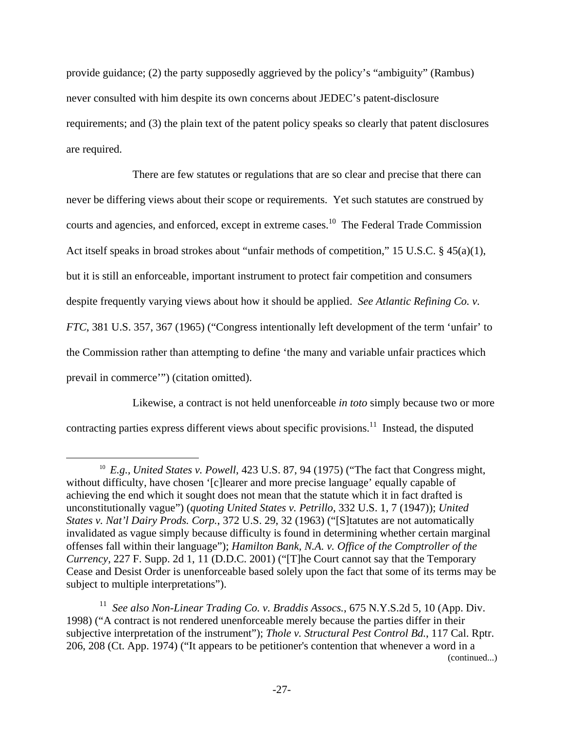provide guidance; (2) the party supposedly aggrieved by the policy's "ambiguity" (Rambus) never consulted with him despite its own concerns about JEDEC's patent-disclosure requirements; and (3) the plain text of the patent policy speaks so clearly that patent disclosures are required.

There are few statutes or regulations that are so clear and precise that there can never be differing views about their scope or requirements. Yet such statutes are construed by courts and agencies, and enforced, except in extreme cases.<sup>10</sup> The Federal Trade Commission Act itself speaks in broad strokes about "unfair methods of competition," 15 U.S.C. § 45(a)(1), but it is still an enforceable, important instrument to protect fair competition and consumers despite frequently varying views about how it should be applied. *See Atlantic Refining Co. v. FTC*, 381 U.S. 357, 367 (1965) ("Congress intentionally left development of the term 'unfair' to the Commission rather than attempting to define 'the many and variable unfair practices which prevail in commerce'") (citation omitted).

Likewise, a contract is not held unenforceable *in toto* simply because two or more contracting parties express different views about specific provisions.<sup>11</sup> Instead, the disputed

<sup>&</sup>lt;sup>10</sup> *E.g., United States v. Powell*, 423 U.S. 87, 94 (1975) ("The fact that Congress might, without difficulty, have chosen '[c]learer and more precise language' equally capable of achieving the end which it sought does not mean that the statute which it in fact drafted is unconstitutionally vague") (*quoting United States v. Petrillo*, 332 U.S. 1, 7 (1947)); *United States v. Nat'l Dairy Prods. Corp.*, 372 U.S. 29, 32 (1963) ("[S]tatutes are not automatically invalidated as vague simply because difficulty is found in determining whether certain marginal offenses fall within their language"); *Hamilton Bank, N.A. v. Office of the Comptroller of the Currency*, 227 F. Supp. 2d 1, 11 (D.D.C. 2001) ("[T]he Court cannot say that the Temporary Cease and Desist Order is unenforceable based solely upon the fact that some of its terms may be subject to multiple interpretations").

<sup>11</sup> *See also Non-Linear Trading Co. v. Braddis Assocs.*, 675 N.Y.S.2d 5, 10 (App. Div. 1998) ("A contract is not rendered unenforceable merely because the parties differ in their subjective interpretation of the instrument"); *Thole v. Structural Pest Control Bd.*, 117 Cal. Rptr. 206, 208 (Ct. App. 1974) ("It appears to be petitioner's contention that whenever a word in a (continued...)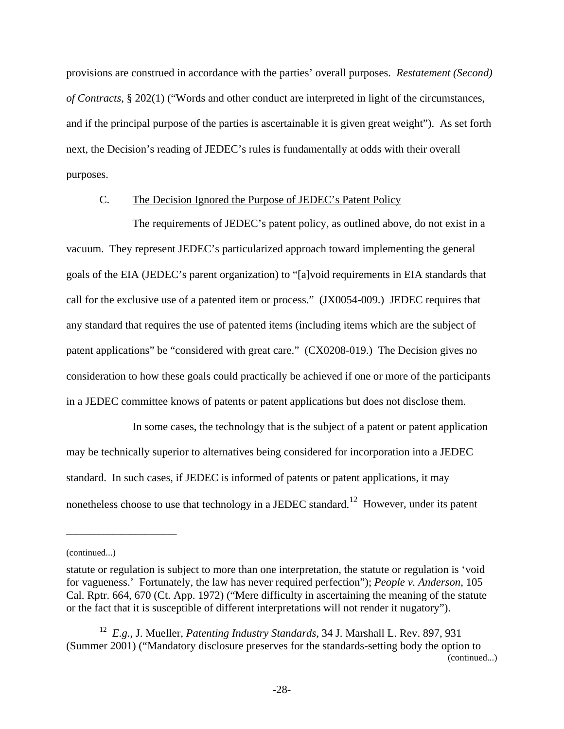provisions are construed in accordance with the parties' overall purposes. *Restatement (Second) of Contracts*, § 202(1) ("Words and other conduct are interpreted in light of the circumstances, and if the principal purpose of the parties is ascertainable it is given great weight"). As set forth next, the Decision's reading of JEDEC's rules is fundamentally at odds with their overall purposes.

## C. The Decision Ignored the Purpose of JEDEC's Patent Policy

The requirements of JEDEC's patent policy, as outlined above, do not exist in a vacuum. They represent JEDEC's particularized approach toward implementing the general goals of the EIA (JEDEC's parent organization) to "[a]void requirements in EIA standards that call for the exclusive use of a patented item or process." (JX0054-009.) JEDEC requires that any standard that requires the use of patented items (including items which are the subject of patent applications" be "considered with great care." (CX0208-019.) The Decision gives no consideration to how these goals could practically be achieved if one or more of the participants in a JEDEC committee knows of patents or patent applications but does not disclose them.

In some cases, the technology that is the subject of a patent or patent application may be technically superior to alternatives being considered for incorporation into a JEDEC standard. In such cases, if JEDEC is informed of patents or patent applications, it may nonetheless choose to use that technology in a JEDEC standard.<sup>12</sup> However, under its patent

\_\_\_\_\_\_\_\_\_\_\_\_\_\_\_\_\_\_\_\_\_\_\_\_

<sup>(</sup>continued...)

statute or regulation is subject to more than one interpretation, the statute or regulation is 'void for vagueness.' Fortunately, the law has never required perfection"); *People v. Anderson*, 105 Cal. Rptr. 664, 670 (Ct. App. 1972) ("Mere difficulty in ascertaining the meaning of the statute or the fact that it is susceptible of different interpretations will not render it nugatory").

<sup>12</sup> *E.g.*, J. Mueller, *Patenting Industry Standards*, 34 J. Marshall L. Rev. 897, 931 (Summer 2001) ("Mandatory disclosure preserves for the standards-setting body the option to (continued...)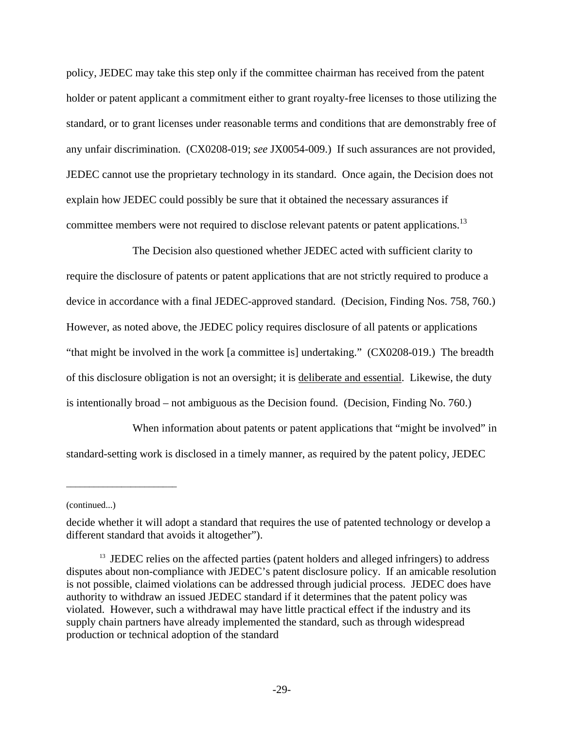policy, JEDEC may take this step only if the committee chairman has received from the patent holder or patent applicant a commitment either to grant royalty-free licenses to those utilizing the standard, or to grant licenses under reasonable terms and conditions that are demonstrably free of any unfair discrimination. (CX0208-019; *see* JX0054-009.) If such assurances are not provided, JEDEC cannot use the proprietary technology in its standard. Once again, the Decision does not explain how JEDEC could possibly be sure that it obtained the necessary assurances if committee members were not required to disclose relevant patents or patent applications.<sup>13</sup>

The Decision also questioned whether JEDEC acted with sufficient clarity to require the disclosure of patents or patent applications that are not strictly required to produce a device in accordance with a final JEDEC-approved standard. (Decision, Finding Nos. 758, 760.) However, as noted above, the JEDEC policy requires disclosure of all patents or applications "that might be involved in the work [a committee is] undertaking." (CX0208-019.) The breadth of this disclosure obligation is not an oversight; it is deliberate and essential. Likewise, the duty is intentionally broad – not ambiguous as the Decision found. (Decision, Finding No. 760.)

When information about patents or patent applications that "might be involved" in standard-setting work is disclosed in a timely manner, as required by the patent policy, JEDEC

\_\_\_\_\_\_\_\_\_\_\_\_\_\_\_\_\_\_\_\_\_\_\_\_

<sup>(</sup>continued...)

decide whether it will adopt a standard that requires the use of patented technology or develop a different standard that avoids it altogether").

<sup>&</sup>lt;sup>13</sup> JEDEC relies on the affected parties (patent holders and alleged infringers) to address disputes about non-compliance with JEDEC's patent disclosure policy. If an amicable resolution is not possible, claimed violations can be addressed through judicial process. JEDEC does have authority to withdraw an issued JEDEC standard if it determines that the patent policy was violated. However, such a withdrawal may have little practical effect if the industry and its supply chain partners have already implemented the standard, such as through widespread production or technical adoption of the standard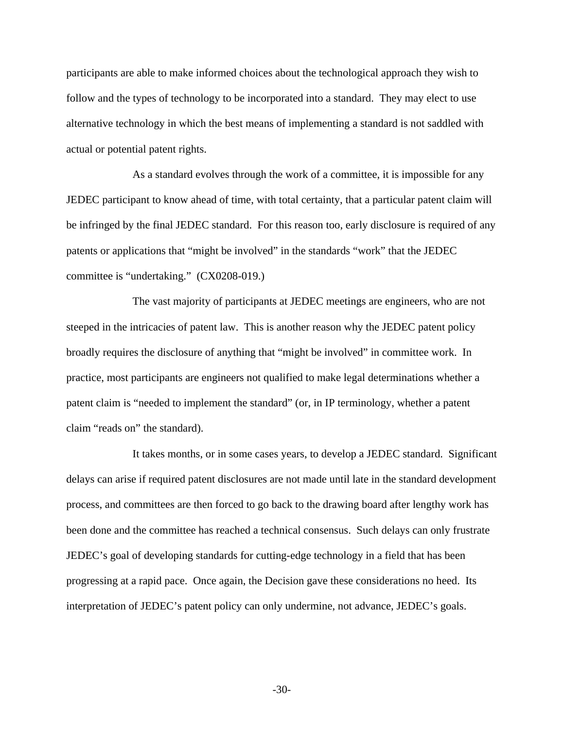participants are able to make informed choices about the technological approach they wish to follow and the types of technology to be incorporated into a standard. They may elect to use alternative technology in which the best means of implementing a standard is not saddled with actual or potential patent rights.

As a standard evolves through the work of a committee, it is impossible for any JEDEC participant to know ahead of time, with total certainty, that a particular patent claim will be infringed by the final JEDEC standard. For this reason too, early disclosure is required of any patents or applications that "might be involved" in the standards "work" that the JEDEC committee is "undertaking." (CX0208-019.)

The vast majority of participants at JEDEC meetings are engineers, who are not steeped in the intricacies of patent law. This is another reason why the JEDEC patent policy broadly requires the disclosure of anything that "might be involved" in committee work. In practice, most participants are engineers not qualified to make legal determinations whether a patent claim is "needed to implement the standard" (or, in IP terminology, whether a patent claim "reads on" the standard).

It takes months, or in some cases years, to develop a JEDEC standard. Significant delays can arise if required patent disclosures are not made until late in the standard development process, and committees are then forced to go back to the drawing board after lengthy work has been done and the committee has reached a technical consensus. Such delays can only frustrate JEDEC's goal of developing standards for cutting-edge technology in a field that has been progressing at a rapid pace. Once again, the Decision gave these considerations no heed. Its interpretation of JEDEC's patent policy can only undermine, not advance, JEDEC's goals.

-30-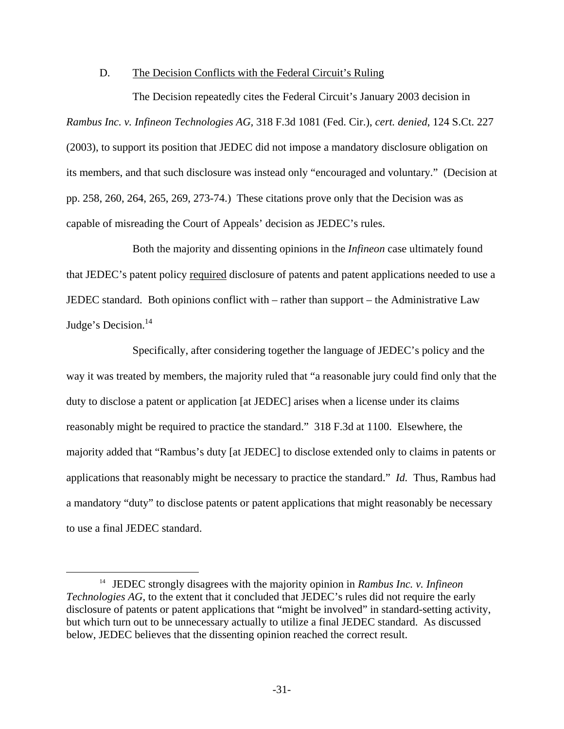### D. The Decision Conflicts with the Federal Circuit's Ruling

The Decision repeatedly cites the Federal Circuit's January 2003 decision in *Rambus Inc. v. Infineon Technologies AG,* 318 F.3d 1081 (Fed. Cir.), *cert. denied*, 124 S.Ct. 227 (2003), to support its position that JEDEC did not impose a mandatory disclosure obligation on its members, and that such disclosure was instead only "encouraged and voluntary." (Decision at pp. 258, 260, 264, 265, 269, 273-74.) These citations prove only that the Decision was as capable of misreading the Court of Appeals' decision as JEDEC's rules.

Both the majority and dissenting opinions in the *Infineon* case ultimately found that JEDEC's patent policy required disclosure of patents and patent applications needed to use a JEDEC standard. Both opinions conflict with – rather than support – the Administrative Law Judge's Decision.<sup>14</sup>

Specifically, after considering together the language of JEDEC's policy and the way it was treated by members, the majority ruled that "a reasonable jury could find only that the duty to disclose a patent or application [at JEDEC] arises when a license under its claims reasonably might be required to practice the standard." 318 F.3d at 1100. Elsewhere, the majority added that "Rambus's duty [at JEDEC] to disclose extended only to claims in patents or applications that reasonably might be necessary to practice the standard." *Id.* Thus, Rambus had a mandatory "duty" to disclose patents or patent applications that might reasonably be necessary to use a final JEDEC standard.

 <sup>14</sup> JEDEC strongly disagrees with the majority opinion in *Rambus Inc. v. Infineon Technologies AG*, to the extent that it concluded that JEDEC's rules did not require the early disclosure of patents or patent applications that "might be involved" in standard-setting activity, but which turn out to be unnecessary actually to utilize a final JEDEC standard. As discussed below, JEDEC believes that the dissenting opinion reached the correct result.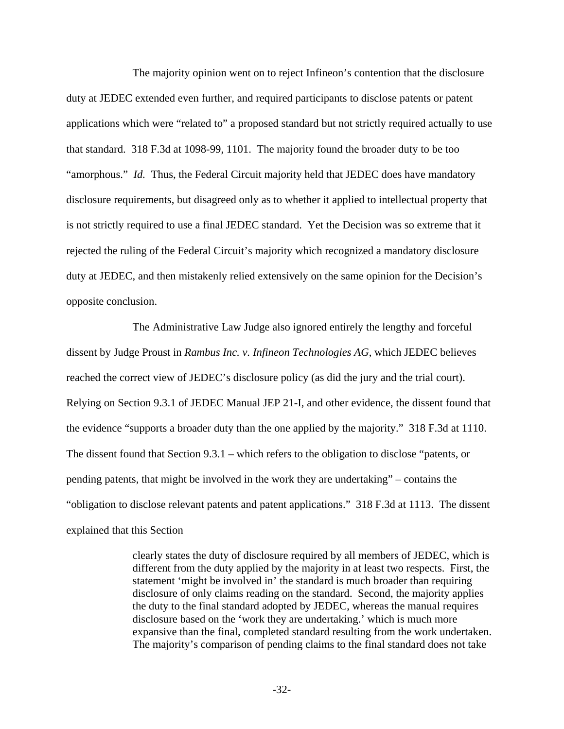The majority opinion went on to reject Infineon's contention that the disclosure duty at JEDEC extended even further, and required participants to disclose patents or patent applications which were "related to" a proposed standard but not strictly required actually to use that standard. 318 F.3d at 1098-99, 1101. The majority found the broader duty to be too "amorphous." *Id.* Thus, the Federal Circuit majority held that JEDEC does have mandatory disclosure requirements, but disagreed only as to whether it applied to intellectual property that is not strictly required to use a final JEDEC standard. Yet the Decision was so extreme that it rejected the ruling of the Federal Circuit's majority which recognized a mandatory disclosure duty at JEDEC, and then mistakenly relied extensively on the same opinion for the Decision's opposite conclusion.

The Administrative Law Judge also ignored entirely the lengthy and forceful dissent by Judge Proust in *Rambus Inc. v. Infineon Technologies AG*, which JEDEC believes reached the correct view of JEDEC's disclosure policy (as did the jury and the trial court). Relying on Section 9.3.1 of JEDEC Manual JEP 21-I, and other evidence, the dissent found that the evidence "supports a broader duty than the one applied by the majority." 318 F.3d at 1110. The dissent found that Section 9.3.1 – which refers to the obligation to disclose "patents, or pending patents, that might be involved in the work they are undertaking" – contains the "obligation to disclose relevant patents and patent applications." 318 F.3d at 1113. The dissent explained that this Section

> clearly states the duty of disclosure required by all members of JEDEC, which is different from the duty applied by the majority in at least two respects. First, the statement 'might be involved in' the standard is much broader than requiring disclosure of only claims reading on the standard. Second, the majority applies the duty to the final standard adopted by JEDEC, whereas the manual requires disclosure based on the 'work they are undertaking.' which is much more expansive than the final, completed standard resulting from the work undertaken. The majority's comparison of pending claims to the final standard does not take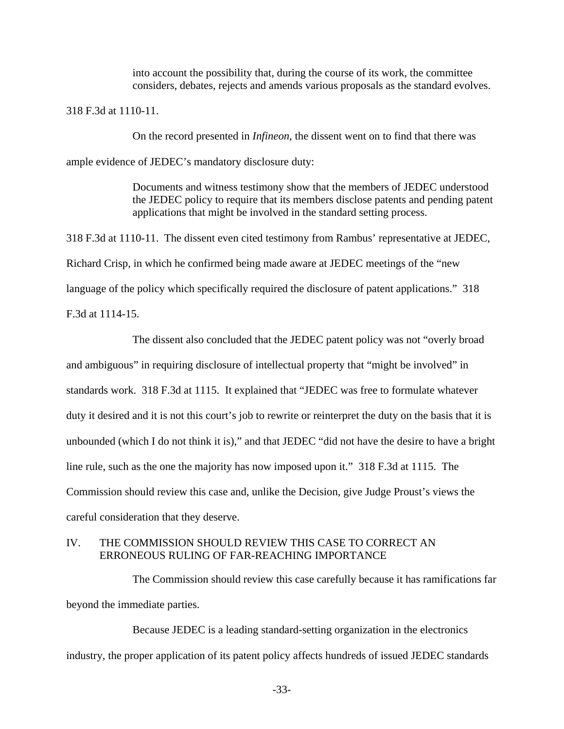into account the possibility that, during the course of its work, the committee considers, debates, rejects and amends various proposals as the standard evolves.

318 F.3d at 1110-11.

On the record presented in *Infineon*, the dissent went on to find that there was

ample evidence of JEDEC's mandatory disclosure duty:

Documents and witness testimony show that the members of JEDEC understood the JEDEC policy to require that its members disclose patents and pending patent applications that might be involved in the standard setting process.

318 F.3d at 1110-11. The dissent even cited testimony from Rambus' representative at JEDEC, Richard Crisp, in which he confirmed being made aware at JEDEC meetings of the "new language of the policy which specifically required the disclosure of patent applications." 318 F.3d at 1114-15.

The dissent also concluded that the JEDEC patent policy was not "overly broad and ambiguous" in requiring disclosure of intellectual property that "might be involved" in standards work. 318 F.3d at 1115. It explained that "JEDEC was free to formulate whatever duty it desired and it is not this court's job to rewrite or reinterpret the duty on the basis that it is unbounded (which I do not think it is)," and that JEDEC "did not have the desire to have a bright line rule, such as the one the majority has now imposed upon it." 318 F.3d at 1115. The Commission should review this case and, unlike the Decision, give Judge Proust's views the careful consideration that they deserve.

# IV. THE COMMISSION SHOULD REVIEW THIS CASE TO CORRECT AN ERRONEOUS RULING OF FAR-REACHING IMPORTANCE

The Commission should review this case carefully because it has ramifications far beyond the immediate parties.

Because JEDEC is a leading standard-setting organization in the electronics industry, the proper application of its patent policy affects hundreds of issued JEDEC standards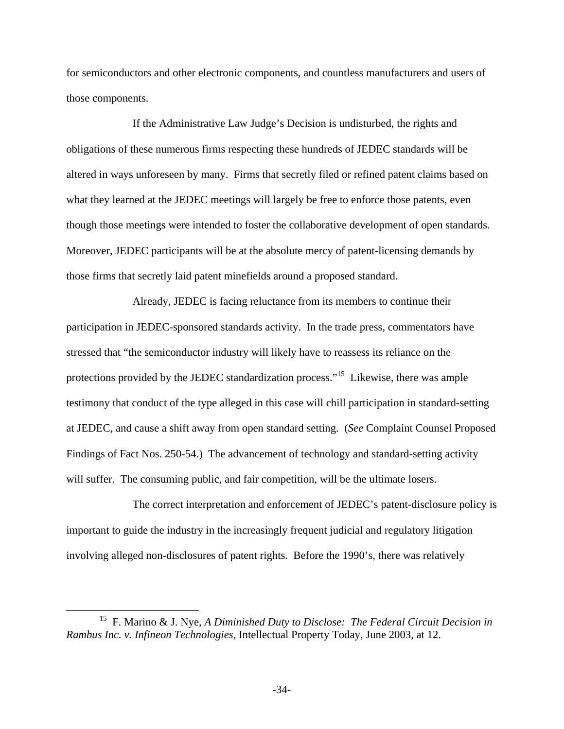for semiconductors and other electronic components, and countless manufacturers and users of those components.

If the Administrative Law Judge's Decision is undisturbed, the rights and obligations of these numerous firms respecting these hundreds of JEDEC standards will be altered in ways unforeseen by many. Firms that secretly filed or refined patent claims based on what they learned at the JEDEC meetings will largely be free to enforce those patents, even though those meetings were intended to foster the collaborative development of open standards. Moreover, JEDEC participants will be at the absolute mercy of patent-licensing demands by those firms that secretly laid patent minefields around a proposed standard.

Already, JEDEC is facing reluctance from its members to continue their participation in JEDEC-sponsored standards activity. In the trade press, commentators have stressed that "the semiconductor industry will likely have to reassess its reliance on the protections provided by the JEDEC standardization process."15 Likewise, there was ample testimony that conduct of the type alleged in this case will chill participation in standard-setting at JEDEC, and cause a shift away from open standard setting. (*See* Complaint Counsel Proposed Findings of Fact Nos. 250-54.) The advancement of technology and standard-setting activity will suffer. The consuming public, and fair competition, will be the ultimate losers.

The correct interpretation and enforcement of JEDEC's patent-disclosure policy is important to guide the industry in the increasingly frequent judicial and regulatory litigation involving alleged non-disclosures of patent rights. Before the 1990's, there was relatively

 <sup>15</sup> F. Marino & J. Nye, *A Diminished Duty to Disclose: The Federal Circuit Decision in Rambus Inc. v. Infineon Technologies*, Intellectual Property Today, June 2003, at 12.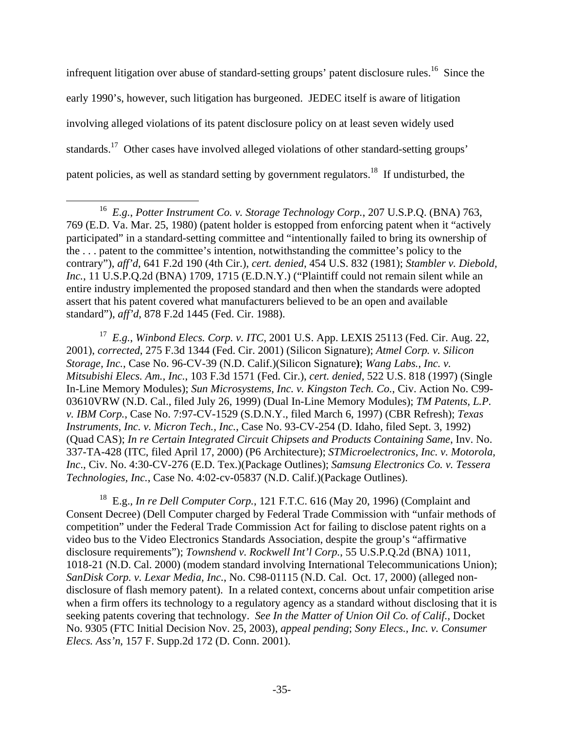infrequent litigation over abuse of standard-setting groups' patent disclosure rules.<sup>16</sup> Since the early 1990's, however, such litigation has burgeoned. JEDEC itself is aware of litigation involving alleged violations of its patent disclosure policy on at least seven widely used standards.17 Other cases have involved alleged violations of other standard-setting groups' patent policies, as well as standard setting by government regulators.<sup>18</sup> If undisturbed, the

17 *E.g.*, *Winbond Elecs. Corp. v. ITC*, 2001 U.S. App. LEXIS 25113 (Fed. Cir. Aug. 22, 2001), *corrected*, 275 F.3d 1344 (Fed. Cir. 2001) (Silicon Signature); *Atmel Corp. v. Silicon Storage, Inc.*, Case No. 96-CV-39 (N.D. Calif.)(Silicon Signature**)**; *Wang Labs., Inc. v. Mitsubishi Elecs. Am., Inc.*, 103 F.3d 1571 (Fed. Cir.), *cert. denied*, 522 U.S. 818 (1997) (Single In-Line Memory Modules); *Sun Microsystems, Inc. v. Kingston Tech. Co.*, Civ. Action No. C99- 03610VRW (N.D. Cal., filed July 26, 1999) (Dual In-Line Memory Modules); *TM Patents, L.P. v. IBM Corp.*, Case No. 7:97-CV-1529 (S.D.N.Y., filed March 6, 1997) (CBR Refresh); *Texas Instruments, Inc. v. Micron Tech., Inc.*, Case No. 93-CV-254 (D. Idaho, filed Sept. 3, 1992) (Quad CAS); *In re Certain Integrated Circuit Chipsets and Products Containing Same*, Inv. No. 337-TA-428 (ITC, filed April 17, 2000) (P6 Architecture); *STMicroelectronics, Inc. v. Motorola, Inc*., Civ. No. 4:30-CV-276 (E.D. Tex.)(Package Outlines); *Samsung Electronics Co. v. Tessera Technologies, Inc.*, Case No. 4:02-cv-05837 (N.D. Calif.)(Package Outlines).

18 E.g.*, In re Dell Computer Corp.*, 121 F.T.C. 616 (May 20, 1996) (Complaint and Consent Decree) (Dell Computer charged by Federal Trade Commission with "unfair methods of competition" under the Federal Trade Commission Act for failing to disclose patent rights on a video bus to the Video Electronics Standards Association, despite the group's "affirmative disclosure requirements"); *Townshend v. Rockwell Int'l Corp.*, 55 U.S.P.Q.2d (BNA) 1011, 1018-21 (N.D. Cal. 2000) (modem standard involving International Telecommunications Union); *SanDisk Corp. v. Lexar Media, Inc.*, No. C98-01115 (N.D. Cal. Oct. 17, 2000) (alleged nondisclosure of flash memory patent). In a related context, concerns about unfair competition arise when a firm offers its technology to a regulatory agency as a standard without disclosing that it is seeking patents covering that technology. *See In the Matter of Union Oil Co. of Calif.,* Docket No. 9305 (FTC Initial Decision Nov. 25, 2003), *appeal pending*; *Sony Elecs., Inc. v. Consumer Elecs. Ass'n*, 157 F. Supp.2d 172 (D. Conn. 2001).

 <sup>16</sup> *E.g.*, *Potter Instrument Co. v. Storage Technology Corp.*, 207 U.S.P.Q. (BNA) 763, 769 (E.D. Va. Mar. 25, 1980) (patent holder is estopped from enforcing patent when it "actively participated" in a standard-setting committee and "intentionally failed to bring its ownership of the . . . patent to the committee's intention, notwithstanding the committee's policy to the contrary"), *aff'd*, 641 F.2d 190 (4th Cir.), *cert. denied*, 454 U.S. 832 (1981); *Stambler v. Diebold, Inc.*, 11 U.S.P.Q.2d (BNA) 1709, 1715 (E.D.N.Y.) ("Plaintiff could not remain silent while an entire industry implemented the proposed standard and then when the standards were adopted assert that his patent covered what manufacturers believed to be an open and available standard"), *aff'd*, 878 F.2d 1445 (Fed. Cir. 1988).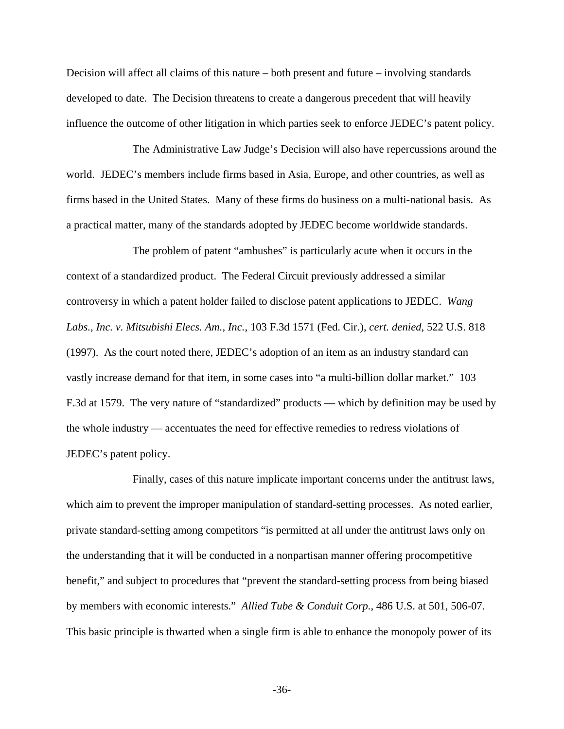Decision will affect all claims of this nature – both present and future – involving standards developed to date. The Decision threatens to create a dangerous precedent that will heavily influence the outcome of other litigation in which parties seek to enforce JEDEC's patent policy.

The Administrative Law Judge's Decision will also have repercussions around the world. JEDEC's members include firms based in Asia, Europe, and other countries, as well as firms based in the United States. Many of these firms do business on a multi-national basis. As a practical matter, many of the standards adopted by JEDEC become worldwide standards.

The problem of patent "ambushes" is particularly acute when it occurs in the context of a standardized product. The Federal Circuit previously addressed a similar controversy in which a patent holder failed to disclose patent applications to JEDEC. *Wang Labs., Inc. v. Mitsubishi Elecs. Am., Inc.*, 103 F.3d 1571 (Fed. Cir.), *cert. denied*, 522 U.S. 818 (1997). As the court noted there, JEDEC's adoption of an item as an industry standard can vastly increase demand for that item, in some cases into "a multi-billion dollar market." 103 F.3d at 1579. The very nature of "standardized" products — which by definition may be used by the whole industry — accentuates the need for effective remedies to redress violations of JEDEC's patent policy.

Finally, cases of this nature implicate important concerns under the antitrust laws, which aim to prevent the improper manipulation of standard-setting processes. As noted earlier, private standard-setting among competitors "is permitted at all under the antitrust laws only on the understanding that it will be conducted in a nonpartisan manner offering procompetitive benefit," and subject to procedures that "prevent the standard-setting process from being biased by members with economic interests." *Allied Tube & Conduit Corp.*, 486 U.S. at 501, 506-07. This basic principle is thwarted when a single firm is able to enhance the monopoly power of its

-36-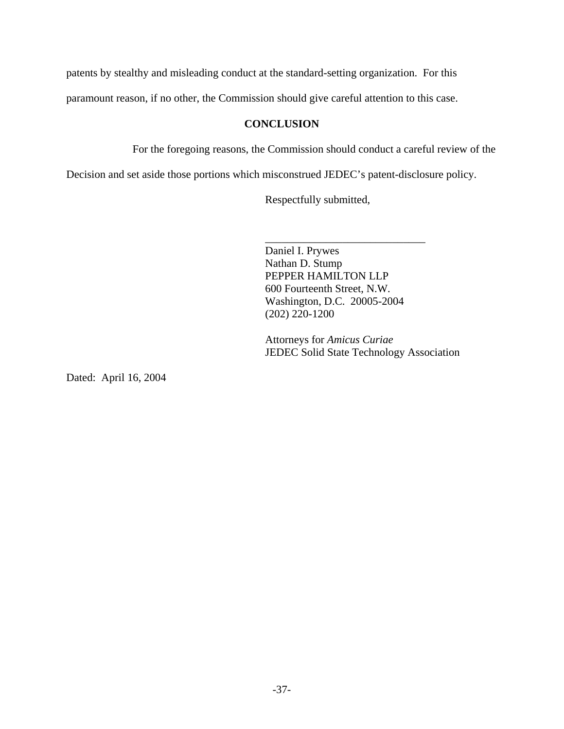patents by stealthy and misleading conduct at the standard-setting organization. For this

paramount reason, if no other, the Commission should give careful attention to this case.

# **CONCLUSION**

For the foregoing reasons, the Commission should conduct a careful review of the

Decision and set aside those portions which misconstrued JEDEC's patent-disclosure policy.

Respectfully submitted,

Daniel I. Prywes Nathan D. Stump PEPPER HAMILTON LLP 600 Fourteenth Street, N.W. Washington, D.C. 20005-2004 (202) 220-1200

\_\_\_\_\_\_\_\_\_\_\_\_\_\_\_\_\_\_\_\_\_\_\_\_\_\_\_\_\_

Attorneys for *Amicus Curiae*  JEDEC Solid State Technology Association

Dated: April 16, 2004